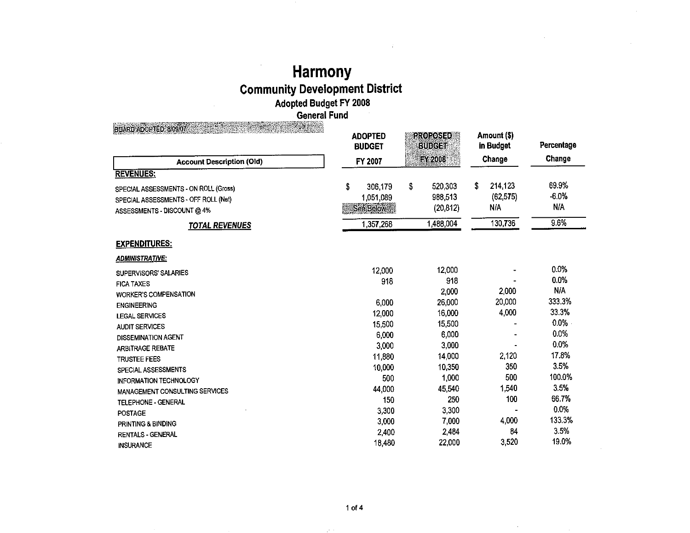## **Harmony Community Development District Adopted Budget FY 2008 General Fund**

BOARD ADOPTED: 8/09/07 **ADOPTED Amount(\$) BUDGET AND BUDGET AND BUDGET AND BUDGET in Budget** Percentage **Account Description (Old) FY 2007 FY 2007 Change** Change **REVENUES:**  ON ROLL (Gross) \$ 306,179 \$ 520,303 \$ 214,123 69.9% SPECIAL ASSESSMENTS - ON ROLL (Gross) OFF ROLL (Net) 1,051,089 988,513 (62,575) -6.0% SPECIAL ASSESSMENTS - OFF ROLL (Net) DISCOUNT@4% •~m• (20,812) N/A N/A ASSESSMENTS - DISCOUNT @ 4% **TOTAL REVENUES** 1,357,268 1,488,004 130,736 9.6% **EXPENDITURES: ADMINISTRATIVE:**  SUPERVISORS' SALARIES 12,000 12,000 0.0% FICA TAXES 918 918 0.0% WORKER'S COMPENSATION 2,000 2,000 N/A<br>ENGINEERING 20,000 20,000 20,000 20,000 233.3% ENGINEERING 6,000 26,000 20,000 333.3% LEGAL SERVICES 12,000 16,000 4,000 33.3% AUDIT SERVICES 15,500 15,500 0.0% DISSEMINATION AGENT 6,000 6,000 6,000 6,000 6,000 6,000 6,000 6,000 6,000 6,000 6,000 6,000 6,000 6,000 6,000 6,000 6,000 6,000 6,000 6,000 6,000 6,000 6,000 6,000 6,000 6,000 6,000 6,000 6,000 6,000 6,000 6,000 6,000 6,00 ARBITRAGE REBATE 3,000 3,000 0.0% TRUSTEE FEES 11,880 14,000 2,120 17.8% SPECIAL ASSESSMENTS 10,000 10,350 350 3.5% INFORMATION TECHNOLOGY **100.0 SOU** 500 1,000 500 500 100.0 100.0 % MANAGEMENT CONSULTING SERVICES 6 2.5% TELEPHONE - GENERAL 150 250 250 100 66.7% POSTAGE 3,300 3,300 0.0% PRINTING & BINDING 3,000 7,000 4,000 133.3% GENERAL 2,400 2,484 84 3.5% **RENTALS - GENERAL** INSURANCE 22,000 3,520 19.0%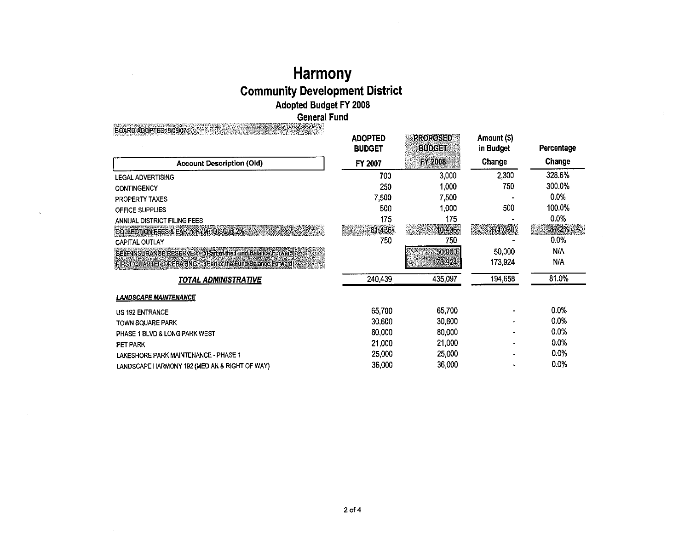# Harmony<br>Community Development District<br>Adopted Budget FY 2008<br>General Fund

| <b>A PARTIES IN THE REPORT OF A PARTIES</b><br><b>BOARD ADOPTED: 8/09/07.</b> |                |                 |             |            |
|-------------------------------------------------------------------------------|----------------|-----------------|-------------|------------|
|                                                                               | <b>ADOPTED</b> | <b>PROPOSED</b> | Amount (\$) |            |
|                                                                               | <b>BUDGET</b>  | <b>BUDGET</b>   | in Budget   | Percentage |
| <b>Account Description (Old)</b>                                              | FY 2007        | <b>FY 2008</b>  | Change      | Change     |
| <b>LEGAL ADVERTISING</b>                                                      | 700            | 3,000           | 2,300       | 328.6%     |
| <b>CONTINGENCY</b>                                                            | 250            | 1.000           | 750         | 300.0%     |
| PROPERTY TAXES                                                                | 7,500          | 7.500           |             | 0.0%       |
| OFFICE SUPPLIES                                                               | 500            | 1,000           | 500         | 100.0%     |
| ANNUAL DISTRICT FILING FEES                                                   | 175            | 175             |             | 0.0%       |
| COLLECTION FEES & EARLY PYMT DISC @ 2%                                        | 81,436         | 10,406          | (71,030)    | $-87.2\%$  |
| CAPITAL OUTLAY                                                                | 750            | 750             |             | 0.0%       |
| SELF INSURANCE RESERVE<br>(Part of the Fund Balance Forward)                  |                | 50.000          | 50,000      | <b>N/A</b> |
| <b>FIRST QUARTER OPERATING : Part of the Fund Balance Forward)</b>            |                | 173,924         | 173,924     | N/A        |
| TOTAL ADMINISTRATIVE                                                          | 240,439        | 435,097         | 194,658     | 81.0%      |
| <b>LANDSCAPE MAINTENANCE</b>                                                  |                |                 |             |            |
| <b>US 192 ENTRANCE</b>                                                        | 65.700         | 65,700          |             | 0.0%       |
| <b>TOWN SQUARE PARK</b>                                                       | 30,600         | 30,600          |             | 0.0%       |
| PHASE 1 BLVD & LONG PARK WEST                                                 | 80,000         | 80,000          |             | 0.0%       |
| PET PARK                                                                      | 21,000         | 21,000          |             | 0.0%       |
| LAKESHORE PARK MAINTENANCE - PHASE 1                                          | 25,000         | 25,000          |             | 0.0%       |
| LANDSCAPE HARMONY 192 (MEDIAN & RIGHT OF WAY)                                 | 36,000         | 36,000          |             | 0.0%       |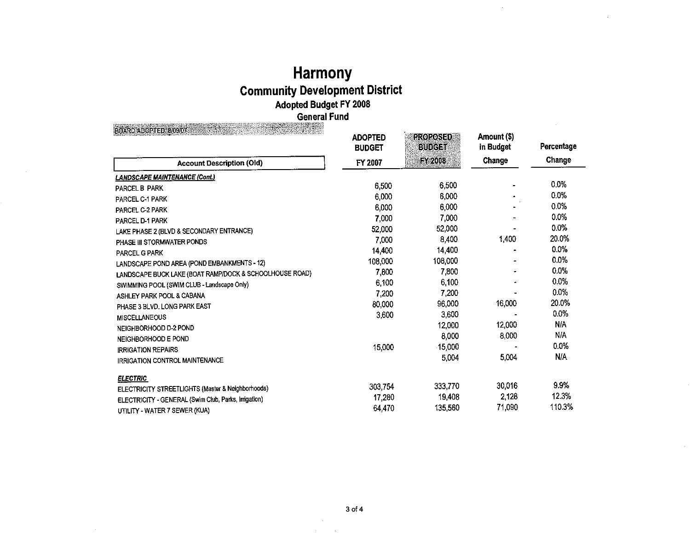## **Harmony Community Development District Adopted Budget FY 2008 General Fund**

| BOARD ADOPTED: 8/09/07                                  |                                 |                                  |                          |            |
|---------------------------------------------------------|---------------------------------|----------------------------------|--------------------------|------------|
|                                                         | <b>ADOPTED</b><br><b>BUDGET</b> | <b>PROPOSED</b><br><b>BUDGET</b> | Amount (\$)<br>in Budget | Percentage |
| <b>Account Description (Old)</b>                        | FY 2007                         | <b>EY2008</b>                    | Change                   | Change     |
| <b>LANDSCAPE MAINTENANCE (Cont.)</b>                    |                                 |                                  |                          |            |
| <b>PARCEL B PARK</b>                                    | 6,500                           | 6,500                            |                          | 0.0%       |
| <b>PARCEL C-1 PARK</b>                                  | 6,000                           | 6,000                            |                          | 0.0%       |
| PARCEL C-2 PARK                                         | 6,000                           | 6,000                            |                          | 0.0%       |
| PARCEL D-1 PARK                                         | 7,000                           | 7,000                            |                          | 0.0%       |
| LAKE PHASE 2 (BLVD & SECONDARY ENTRANCE)                | 52,000                          | 52,000                           |                          | 0.0%       |
| PHASE III STORMWATER PONDS                              | 7,000                           | 8,400                            | 1,400                    | 20.0%      |
| PARCEL G PARK                                           | 14.400                          | 14,400                           |                          | 0.0%       |
| LANDSCAPE POND AREA (POND EMBANKMENTS - 12)             | 108,000                         | 108,000                          |                          | $0.0\%$    |
| LANDSCAPE BUCK LAKE (BOAT RAMP/DOCK & SCHOOLHOUSE ROAD) | 7,800                           | 7,800                            |                          | 0.0%       |
| SWIMMING POOL (SWIM CLUB - Landscape Only)              | 6,100                           | 6,100                            |                          | 0.0%       |
| ASHLEY PARK POOL & CABANA                               | 7,200                           | 7,200                            |                          | 0.0%       |
| PHASE 3 BLVD, LONG PARK EAST                            | 80,000                          | 96,000                           | 16,000                   | 20.0%      |
| <b>MISCELLANEOUS</b>                                    | 3,600                           | 3,600                            |                          | $0.0\%$    |
| NEIGHBORHOOD D-2 POND                                   |                                 | 12,000                           | 12,000                   | N/A        |
| NEIGHBORHOOD E POND                                     |                                 | 8,000                            | 8,000                    | N/A        |
| <b>IRRIGATION REPAIRS</b>                               | 15,000                          | 15,000                           |                          | 0.0%       |
| <b>IRRIGATION CONTROL MAINTENANCE</b>                   |                                 | 5,004                            | 5,004                    | N/A        |
| <b>ELECTRIC</b>                                         |                                 |                                  |                          |            |
| ELECTRICITY STREETLIGHTS (Master & Neighborhoods)       | 303,754                         | 333,770                          | 30,016                   | 9.9%       |
| ELECTRICITY - GENERAL (Swim Club, Parks, Irrigation)    | 17,280                          | 19,408                           | 2,128                    | 12.3%      |
| UTILITY - WATER 7 SEWER (KUA)                           | 64,470                          | 135,560                          | 71,090                   | 110.3%     |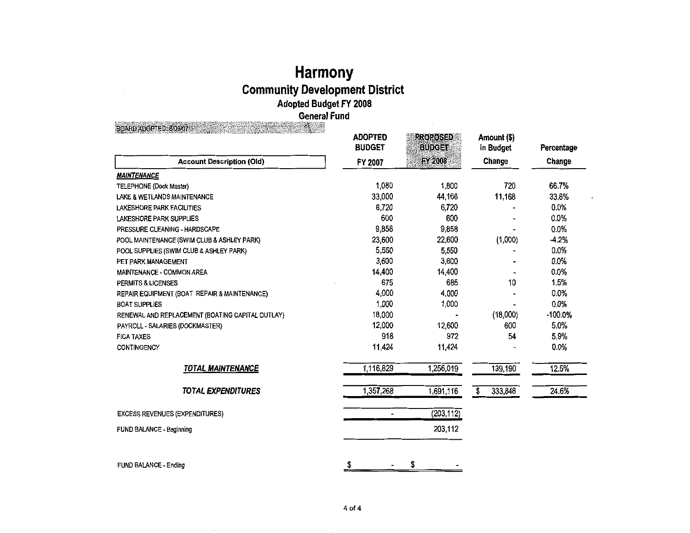## **Harmony Community Development District Adopted Budget FY 2008 General Fund**

BOARD ADOPTED: 8/09/07

|                                                  | <b>ADOPTED</b><br><b>BUDGET</b> | <b>PROPOSED</b><br><b>BUDGET</b> | Amount (\$)<br>in Budget | Percentage |
|--------------------------------------------------|---------------------------------|----------------------------------|--------------------------|------------|
| <b>Account Description (Old)</b>                 | FY 2007                         | <b>FY 2008</b>                   | Change                   | Change     |
| <b>MAINTENANCE</b>                               |                                 |                                  |                          |            |
| <b>TELEPHONE (Dock Master)</b>                   | 1,080                           | 1,800                            | 720                      | 66.7%      |
| LAKE & WETLANDS MAINTENANCE                      | 33,000                          | 44,168                           | 11,168                   | 33.8%      |
| LAKESHORE PARK FACILITIES                        | 6,720                           | 6,720                            |                          | 0.0%       |
| <b>LAKESHORE PARK SUPPLIES</b>                   | 600                             | 600                              |                          | 0.0%       |
| PRESSURE CLEANING - HARDSCAPE                    | 9,858                           | 9,858                            |                          | 0.0%       |
| POOL MAINTENANCE (SWIM CLUB & ASHLEY PARK)       | 23,600                          | 22,600                           | (1,000)                  | $-4.2%$    |
| POOL SUPPLIES (SWIM CLUB & ASHLEY PARK)          | 5,550                           | 5,550                            |                          | 0.0%       |
| PET PARK MANAGEMENT                              | 3,600                           | 3,600                            |                          | 0.0%       |
| MAINTENANCE - COMMON AREA                        | 14,400                          | 14,400                           |                          | 0.0%       |
| <b>PERMITS &amp; LICENSES</b>                    | 675                             | 685                              | 10                       | 1.5%       |
| REPAIR EQUIPMENT (BOAT REPAIR & MAINTENANCE)     | 4,000                           | 4,000                            |                          | 0.0%       |
| <b>BOAT SUPPLIES</b>                             | 1,000                           | 1,000                            |                          | 0.0%       |
| RENEWAL AND REPLACEMENT (BOATING CAPITAL OUTLAY) | 18,000                          |                                  | (18,000)                 | -100.0%    |
| PAYROLL - SALARIES (DOCKMASTER)                  | 12,000                          | 12,600                           | 600                      | 5.0%       |
| <b>FICA TAXES</b>                                | 918                             | 972                              | 54                       | 5.9%       |
| CONTINGENCY                                      | 11,424                          | 11,424                           |                          | 0.0%       |
| <b>TOTAL MAINTENANCE</b>                         | 1,116,829                       | 1,256,019                        | 139,190                  | 12.5%      |
| <b>TOTAL EXPENDITURES</b>                        | 1.357,268                       | 1,691,116                        | 333,848<br>\$            | 24.6%      |
| <b>EXCESS REVENUES (EXPENDITURES)</b>            | $\blacksquare$                  | (203, 112)                       |                          |            |
| FUND BALANCE - Beginning                         |                                 | 203,112                          |                          |            |
| FUND BALANCE - Ending                            | \$                              | \$                               |                          |            |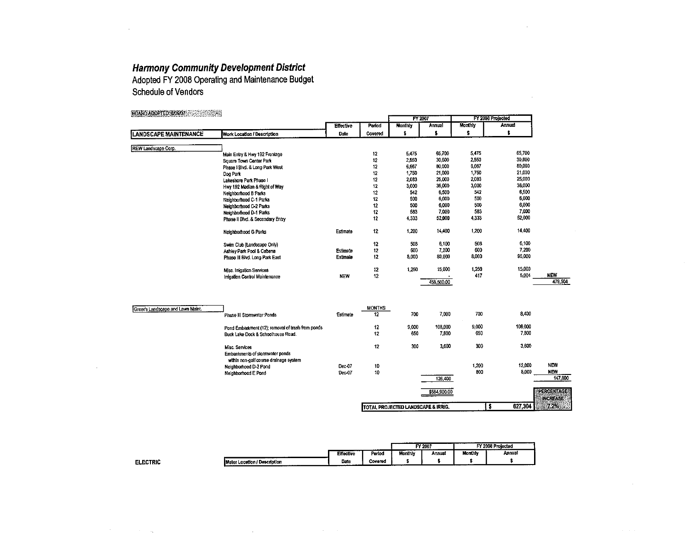**Harmony Community Development District**<br>Adopted FY 2008 Operating and Maintenance Budget **Schedule of Vendors** 

| BOARD ADOPTED: 8/09/07<br>e voor ee |                                                   |                  |                     | FY 2007                             |               |                | FY 2008 Projected |                   |
|-------------------------------------|---------------------------------------------------|------------------|---------------------|-------------------------------------|---------------|----------------|-------------------|-------------------|
|                                     |                                                   | <b>Effective</b> | Period              | <b>Monthly</b>                      | <b>Annual</b> | <b>Monthly</b> | <b>Annual</b>     |                   |
| <b>LANDSCAPE MAINTENANCE</b>        | Work Location / Description                       | Date             | Covered             | \$                                  | \$            | \$             | \$                |                   |
|                                     |                                                   |                  |                     |                                     |               |                |                   |                   |
| REW Landscape Corp.                 |                                                   |                  | 12                  | 5,475                               | 65,700        | 5,475          | 65,700            |                   |
|                                     | Main Entry & Hwy 192 Frontage                     |                  | 12                  | 2,550                               | 30,600        | 2,550          | 30,600            |                   |
|                                     | Square Town Center Park                           |                  | 12                  | 6,667                               | 80,000        | 6,667          | 80,000            |                   |
|                                     | Phase I Blvd. & Long Park West                    |                  | 12                  | 1,750                               | 21,000        | 1,750          | 21,000            |                   |
|                                     | Dog Park                                          |                  | 12                  | 2.033                               | 25,000        | 2,033          | 25,000            |                   |
|                                     | Lakeshore Park Phase I                            |                  | 12                  | 3,000                               | 36,000        | 3,000          | 36,000            |                   |
|                                     | Hwy 192 Median & Right of Way                     |                  | 12                  | 542                                 | 6,500         | 542            | 6,500             |                   |
|                                     | Neighborhood B Parks                              |                  | 12                  | 500                                 | 6,000         | 500            | 6,000             |                   |
|                                     | Neighborhood C-1 Parks                            |                  | 12                  | 500                                 | 6,000         | 500            | 6,000             |                   |
|                                     | Neighborhood C-2 Parks                            |                  | 12                  | 503                                 | 7,000         | 533            | 7,000             |                   |
|                                     | Neighborhood D-1 Parks                            |                  | 12                  | 4,333                               | 52,000        | 4.333          | 52,000            |                   |
|                                     | Phase II Blvd. & Secondary Entry                  |                  |                     |                                     |               |                |                   |                   |
|                                     | Neighborhood G Parks                              | Estimate         | 12                  | 1,200                               | 14,400        | 1,200          | 14,400            |                   |
|                                     | Swim Club (Landscape Only)                        |                  | 12                  | 508                                 | 6,100         | 508            | 6,100             |                   |
|                                     | Ashley Park Pool & Cabana                         | Estimate         | 12                  | 600                                 | 7,200         | 600            | 7.200             |                   |
|                                     | Phase III Blvd. Long Park East                    | Estimate         | 12                  | 8,000                               | 80,000        | 8,000          | 96,000            |                   |
|                                     | Misc. Imigation Services                          |                  | $12\,$              | 1,250                               | 15,000        | 1,250          | 15,000            |                   |
|                                     | Irrigation Control Maintenance                    | <b>NEW</b>       | 12                  |                                     |               | 417            | 5.004             | <b>NEW</b>        |
|                                     |                                                   |                  |                     |                                     | 458.500.00    |                |                   | 479,504           |
|                                     |                                                   |                  |                     |                                     |               |                |                   |                   |
| Greer's Landscape and Lawn Maint.   | Phase III Stormwater Ponds                        | Estimate         | <b>MONTHS</b><br>12 | 700                                 | 7,000         | 700            | 8.400             |                   |
|                                     |                                                   |                  |                     |                                     |               |                |                   |                   |
|                                     | Pond Embarkment (12); removal of trash from ponds |                  | 12                  | 9,000                               | 108,000       | 9.000          | 108,000           |                   |
|                                     | Buck Lake Dock & Schoolhouse Road.                |                  | 12                  | 650                                 | 7.800         | 650            | 7,800             |                   |
|                                     | Misc. Services                                    |                  | 12                  | 300                                 | 3,600         | 300            | 3.600             |                   |
|                                     | Embankments of stormwater ponds                   |                  |                     |                                     |               |                |                   |                   |
|                                     | within non-golf course drainage system            |                  |                     |                                     |               |                |                   |                   |
|                                     | Neighborhood D-2 Pond                             | Dec-07           | 10                  |                                     |               | 1,200          | 12,000            | <b>NEW</b>        |
|                                     | Neighborhood E Pond                               | Dec-07           | 10                  |                                     |               | 800            | 8.000             | <b>NEW</b>        |
|                                     |                                                   |                  |                     |                                     | 126,400       |                |                   | 147,800           |
|                                     |                                                   |                  |                     |                                     |               |                |                   |                   |
|                                     |                                                   |                  |                     |                                     | \$584,900.00  |                |                   | <b>PERCENTAGE</b> |
|                                     |                                                   |                  |                     |                                     |               |                |                   | <b>INCREASE</b>   |
|                                     |                                                   |                  |                     | TOTAL RRO IFCTED LANDSCARE & IRRIG. |               | Is             | 627.304           | 7.2%              |

|                 |                                          |           | $\cdots$ |         | FY 2007<br>. | _________ | FY 2008 Projected<br>. |
|-----------------|------------------------------------------|-----------|----------|---------|--------------|-----------|------------------------|
|                 |                                          | Effective | Period   | Monthly | Annual       | Monthly   | --------<br>Annual     |
| <b>ELECTRIC</b> | ________<br>Meter Location / Description | Date      | Covered  |         |              | ----      |                        |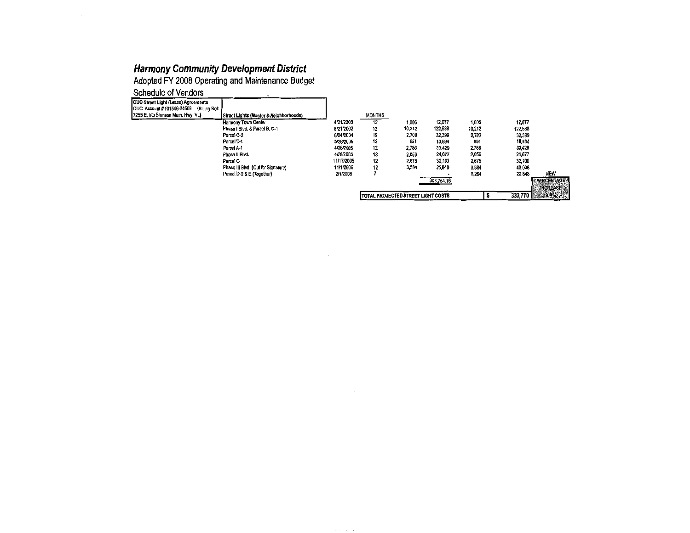Adopted FY 2008 Operating and Maintenance Budget

| Schedule of Vendors |
|---------------------|
|---------------------|

| OUC Street Light (Lease) Agreements        |                                        |            |                                           |        |            |        |         |                            |
|--------------------------------------------|----------------------------------------|------------|-------------------------------------------|--------|------------|--------|---------|----------------------------|
| (Billing Ref:<br>OUC Account #101546-34509 |                                        |            |                                           |        |            |        |         |                            |
| 7255 E. Into Bronson Mem. Hwy. VL)         | Street Lights (Master & Neighborhoods) |            | <b>MONTHS</b>                             |        |            |        |         |                            |
|                                            | <b>Harmony Town Center</b>             | 4/21/2003  | 12                                        | 1.006  | 12,077     | 1,006  | 12,077  |                            |
|                                            | Phase I Blvd, & Parcel B, C-1          | 6/21/2002  | 12                                        | 10,212 | 122,538    | 10,212 | 122,538 |                            |
|                                            | Parcel C-2                             | 6/24/2004  | 12                                        | 2,700  | 32,399     | 2,700  | 32,399  |                            |
|                                            | Parcel D-1                             | 5/26/2005  | 12                                        | 891    | 10.594     | 891    | 10,694  |                            |
|                                            | Parcel A-1                             | 4/26/2005  | 12                                        | 2,786  | 33.429     | 2,786  | 33,429  |                            |
|                                            | Phase II Blvd.                         | 4/28/2005  | 12                                        | 2,056  | 24,677     | 2,056  | 24,677  |                            |
|                                            | Parcel G                               | 11/17/2005 | 12                                        | 2,675  | 32,100     | 2,675  | 32,100  |                            |
|                                            | Phase III Blvd. (Out for Signature)    | 11/1/2006  | 12                                        | 3.584  | 35,840     | 3,584  | 43,008  |                            |
|                                            | Parcel D-2 & E (Together)              | 2/1/2008   |                                           |        |            | 3,264  | 22,848  | <b>NEW</b>                 |
|                                            |                                        |            |                                           |        | 303,754.16 |        |         | <b><i>SPERCENTAGES</i></b> |
|                                            |                                        |            |                                           |        |            |        |         | <b>INCREASE</b>            |
|                                            |                                        |            | <b>TOTAL PROJECTED STREET LIGHT COSTS</b> |        |            |        | 333,770 | 3.9%                       |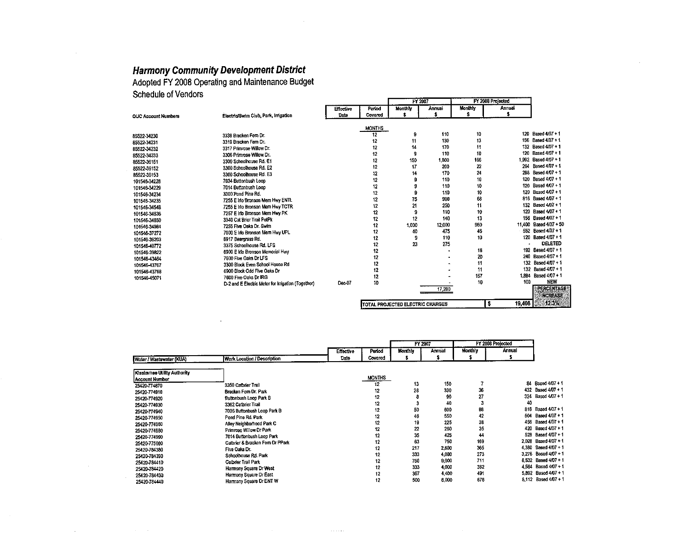**Adopted FY 2008 Operating and Maintenance Budget** 

**Schedule of Vendors** 

|                            |                                                    |           |               |                                  | FY 2007 |         | FY 2008 Projected |                        |
|----------------------------|----------------------------------------------------|-----------|---------------|----------------------------------|---------|---------|-------------------|------------------------|
|                            |                                                    | Effective | Period        | Monthly                          | Annual  | Monthly | Annual            |                        |
| <b>OUC Account Numbers</b> | Electric/Swim Club, Park, Irrigation               | Date      | Covered       | \$                               | s       | s       |                   |                        |
|                            |                                                    |           |               |                                  |         |         |                   |                        |
|                            |                                                    |           | <b>MONTHS</b> |                                  |         |         |                   |                        |
| 85522-34230                | 3338 Bracken Fern Dr.                              |           | 12            | 9                                | 110     | 10      | 120               | Based 4/07 + 1         |
| 85522-34231                | 3319 Bracken Fern Dr.                              |           | 12            | 11                               | 130     | 13      | 156               | Based 4/07 + 1         |
| 85522-34232                | 3317 Primrose Willow Dr.                           |           | 12            | 14                               | 170     | 11      | 132               | Based 4/07 + 1         |
| 85522-34233                | 3306 Primrose Willow Dr.                           |           | 12            | 9                                | 110     | 10      | 120               | Based 4/07 + 1         |
| 85522-36151                | 3300 Schoolhouse Ro. E1                            |           | 12            | 150                              | 1,800   | 166     | 1.992             | Based 4/07 + 1         |
| 85522-36152                | 3300 Schoolhouse Rd. E2                            |           | 12            | 17                               | 200     | 22      | 264               | Based 4/07 + 1         |
| 85522-36153                | 3300 Schoolhouse Rd. E3                            |           | 12            | 14                               | 170     | 24      | 208               | Based 4/07 + 1         |
| 101546-34228               | 7034 Buttonbush Loop                               |           | 12            |                                  | 110     | 10      | 120               | Based 4/07 + 1         |
| 101546-34229               | 7014 Buttonbush Loop                               |           | 12            | 9                                | 110     | 10      | 120               | Based 4/07 + 1         |
| 101546-34234               | 3300 Pond Pine Rd.                                 |           | 12            | 9                                | 110     | 10      | 120               | Based 4/07 + 1         |
| 101546-34235               | 7255 E Ino Bronson Mem Hwy ENTL                    |           | 12            | 75                               | 900     | 68      |                   | 816 Based 4/07 + 1     |
| 101546-34548               | 7255 E Ino Bronson Mem Hwy TCTR                    |           | 12            | 21                               | 250     | 11      |                   | 132 Based 4/07 + 1     |
| 101546-34636               | 7257 E Irlo Bronson Mem Hwy PK                     |           | 12            | 9                                | 110     | 10      | 120               | Based 4/07 + 1         |
| 101546-34850               | 3340 Cat Brier Trail PetPk                         |           | 12            | 12                               | 140     | 13      |                   | 156 Based 4/07 + 1     |
| 101546-34984               | 7255 Five Oaks Dr. Swim                            |           | 12            | 1,000                            | 12.000  | 950     |                   | 11,400 Based 4/07 + 50 |
| 101546-37272               | 7000 E Ino Bronson Mem Hwy UPL                     |           | 12            | 40                               | 475     | 46      |                   | 552 Based 4/07 + 1     |
| 101546-38203               | 6917 Beargrass Rd.                                 |           | 12            | 9                                | 110     | 10      | 120               | Based 4/07 + 1         |
| 101546-40772               | 3375 Schoolhouse Rd. LFS                           |           | 12            | 23                               | 275     |         |                   | DELETED                |
| 101516-39822               | 6900 E Irlo Bronson Memorial Hwy                   |           | 12            |                                  |         | 16      |                   | 192 Based 4/07 + 1     |
| 101546-43464               | 7600 Five Oaks Dr LFS                              |           | 12            |                                  |         | 20      |                   | 240 Based 4/07 + 1     |
| 101546-43767               | 3300 Block Even School House Rd                    |           | 12            |                                  |         | 11      | 132               | Based 4/07 + 1         |
| 101546-13768               | 6900 Block Odd Five Oaks Dr                        |           | 12            |                                  |         | 11      |                   | 132 Based 4/07 + 1     |
| 101546-45071               | 7600 Five Oaks Dr IRG                              |           | 12            |                                  |         | 157     | 1.884             | Based 4/07 + 1         |
|                            | D-2 and E Electric Meter for Irrigation (Together) | Dec-07    | 10            |                                  |         | 10      | 100               | NEW                    |
|                            |                                                    |           |               |                                  | 17,280  |         |                   | PERCENTAGE             |
|                            |                                                    |           |               |                                  |         |         |                   | <b>INCREASE</b>        |
|                            |                                                    |           |               | TOTAL PROJECTED ELECTRIC CHARGES |         |         | 19,408<br>s       | 12.3%                  |

|                             |                                  |           |               | FY 2007        |        | FY 2008 Projected |        |                      |
|-----------------------------|----------------------------------|-----------|---------------|----------------|--------|-------------------|--------|----------------------|
|                             |                                  | Effective | Period        | <b>Monthly</b> | Annual | Monthly           | Annual |                      |
| Water / Wastewater (KUA)    | Work Location / Description      | Date      | Covered       |                |        |                   |        |                      |
| Kissimmee Utility Authority |                                  |           |               |                |        |                   |        |                      |
| Account Number              |                                  |           | <b>MONTHS</b> |                |        |                   |        |                      |
| 25420-774870                | 3350 Calbrier Trail              |           | 12            | 13             | 150    |                   | 84     | Based 4/07 + 1       |
| 25420-774910                | Bracken Fern Dr. Park            |           | 12            | 28             | 330    | 36                | 432    | Based 4/07 + 1       |
| 25420-774920                | <b>Buttonbush Loop Park B</b>    |           | 12            |                | 90     | 27                | 324    | Based 4/07 + 1       |
| 25420-774930                | 3362 Catbrier Trail              |           | 12            |                | 40     |                   | 40     |                      |
| 25420-774940                | 7036 Buttonbush Loop Park B      |           | 12            | 50             | 600    | 88                |        | 816 Based 4/07 + 1   |
| 25420-774950                | Pond Pine Rd. Park               |           | 12            | 46             | 550    | 42                | 504    | Based 4/07 + 1       |
| 25420-774960                | Alley Neighborhood Park C        |           | 12            | 19             | 225    | 38                | 456    | Based 4/07 + 1       |
| 25420-774980                | Primrose Willow Dr Park          |           | 12            | 22             | 260    | 35                | 420    | Based 4/07 + 1       |
| 25420-774990                | 7014 Buttonbush Loop Park        |           | 12            | 35             | 425    | 44                | 528    | Based 4/07 + 1       |
| 25420-775000                | Cathrier & Bracken Fern Dr PPark |           | 12            | 63             | 750    | 169               |        | 2.028 Based 4/07 + 1 |
| 25420-784380                | Five Oaks Dr.                    |           | 12            | 217            | 2.600  | 365               | 4.380  | Based 4/07 + 1       |
| 25420-784390                | Schoolhouse Rd. Park             |           | 12            | 333            | 4.000  | 273               |        | 3,276 Based 4/07 + 1 |
| 25420-784410                | Calbrier Trail Park              |           | 12            | 750            | 9.000  | 711               |        | 8.532 Based 4/07 + 1 |
| 25420-784420                | Harmony Squara Dr West           |           | 12            | 333            | 4,000  | 382               |        | 4,584 Based 4/07 + 1 |
| 25420 784430                | Harmony Square Dr East           |           | 12            | 367            | 4.400  | 491               |        | 5,892 Based 4/07 + 1 |
| 25420-784440                | Harmony Square Dr ENT W          |           | 12            | 500            | 6,000  | 676               |        | 8,112 Based 4/07 + 1 |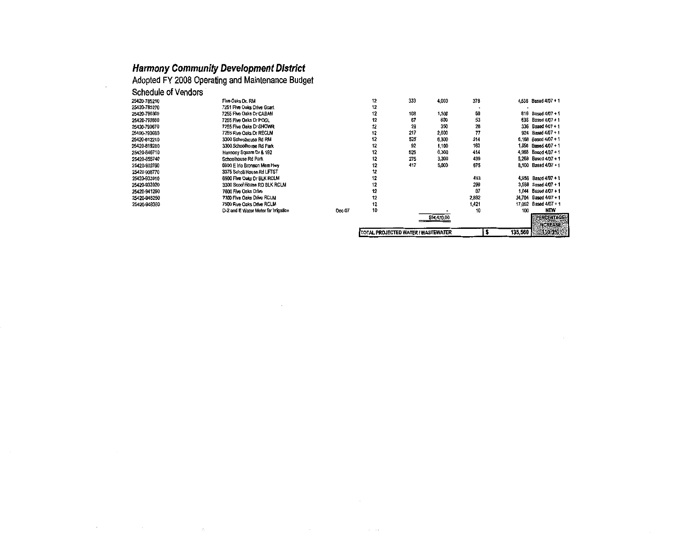$\boldsymbol{\beta}$ 

Adopted FY 2008 Operating and Maintenance Budget

| Schedule of Vendors |                                     |        |    |                                    |             |       |              |                      |
|---------------------|-------------------------------------|--------|----|------------------------------------|-------------|-------|--------------|----------------------|
| 25420-785210        | Five Oaks Dr. RM                    |        | 12 | 333                                | 4,000       | 378   |              | 4,536 Based 4/07 + 1 |
| 25420-785270        | 7251 Five Oaks Drive Gcart          |        | 12 |                                    |             |       |              |                      |
| 25420-790300        | 7255 Five Oaks Dr CABAN             |        | 12 | 108                                | 1,300       | 68    |              | 816 Based 4/07 + 1   |
| 25420-790660        | 7255 Five Oaks Dr POOL              |        | 12 | 67                                 | 800         | 53    | 636          | Based 4/07 + 1       |
| 25420-790670        | 7255 Five Oaks Dr SHOWR             |        | 12 | 29                                 | 350         | 28    | 336          | Based 4/07 + 1       |
| 25420-790680        | 7255 Five Oaks Dr RECLM             |        | 12 | 217                                | 2,600       | 77    | 924          | Based 4/07 + 1       |
| 25420-812210        | 3300 Schoolhouse Rd RM              |        | 12 | 525                                | 6,300       | 514   | 6,168        | Based 4/07 + 1       |
| 25420-819280        | 3300 Schoolhouse Rd Park            |        | 12 | 92                                 | 1,100       | 163   | 1.956        | Based 4/07 + 1       |
| 25420-846710        | Harmony Square Dr & 192             |        | 12 | 525                                | 6.300       | 414   | 4,968        | Based 4/07 + 1       |
| 25420-855740        | Schoolhouse Rd Park                 |        | 12 | 275                                | 3,300       | 439   | 5,268        | Based 4/07 + 1       |
| 25420-903760        | 6900 E Irlo Bronson Mem Hwy         |        | 12 | 417                                | 5,000       | 675   | 8,100        | Based 4/07 + 1       |
| 25420-908770        | 3375 Scholl House Rd LFTST          |        | 12 |                                    |             |       |              |                      |
| 25420-933910        | 6900 Five Oaks Dr BLK RCLM          |        | 12 |                                    |             | 413   | 4,956        | Based 4/07 + 1       |
| 25420-933920        | 3300 Scool House RD BLK RCLM        |        | 12 |                                    |             | 299   | 3.588        | Based 4/07 + 1       |
| 25420-941290        | 7600 Five Oaks Drive                |        | 12 |                                    |             | 87    | 1.044        | Based 4/07 + 1       |
| 25420-948250        | 7300 Five Oaks Drive RCLM           |        | 12 |                                    |             | 2,892 | 34,704       | Based 4/07 + 1       |
| 25420-948380        | 7500 Five Oaks Drive RCLM           |        | 12 |                                    |             | 1,421 | 17,052       | Based 4/07 + 1       |
|                     | D-2 and E Water Meter for Imigation | Dec-07 | 10 |                                    |             | 10    | 100          | <b>NEW</b>           |
|                     |                                     |        |    |                                    | \$64,470.00 |       |              | <b>PERCENTAGE®</b>   |
|                     |                                     |        |    |                                    |             |       |              | <b>INCREASE!</b>     |
|                     |                                     |        |    | TOTAL PROJECTED WATER / WASTEWATER |             |       | 135,560<br>s | $110.3\%$            |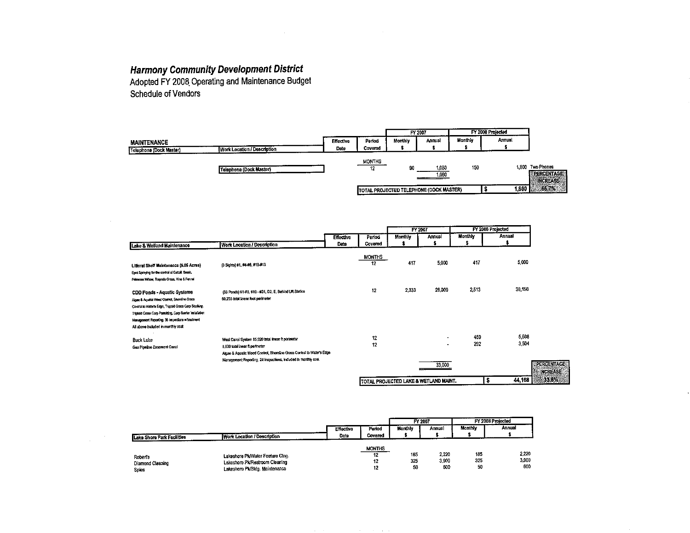$\label{eq:2} \frac{1}{\sqrt{2\pi}}\int_{0}^{\infty}\frac{d\mu}{\lambda}d\mu\int_{0}^{\infty}\frac{d\mu}{\lambda}d\mu\int_{0}^{\infty}\frac{d\mu}{\lambda}d\mu\int_{0}^{\infty}\frac{d\mu}{\lambda}d\mu\int_{0}^{\infty}\frac{d\mu}{\lambda}d\mu\int_{0}^{\infty}\frac{d\mu}{\lambda}d\mu\int_{0}^{\infty}\frac{d\mu}{\lambda}d\mu\int_{0}^{\infty}\frac{d\mu}{\lambda}d\mu\int_{0}^{\infty}\frac{d\mu}{\lambda}d\mu\int_{$ 

**Harmony Community Development District**<br>Adopted FY 2008 Operating and Maintenance Budget Schedule of Vendors

|                         |                                    |                  |               | FY 2007 |                                         | FY 2008 Projected |        |                                |
|-------------------------|------------------------------------|------------------|---------------|---------|-----------------------------------------|-------------------|--------|--------------------------------|
| MAINTENANCE             |                                    | <b>Effective</b> | Period        | Monthly | Annual                                  | <b>Monthly</b>    | Annual |                                |
| Telephone (Dock Master) | <b>Work Location / Description</b> | Date             | Covered       |         |                                         |                   |        |                                |
|                         |                                    |                  | <b>MONTHS</b> |         |                                         |                   |        |                                |
|                         | Telephone (Dock Master)            |                  | 12            | 90      | 1,080                                   | 150               |        | 1,800 Two Phones<br>PERCENTAGE |
|                         |                                    |                  |               |         | 1,080                                   |                   |        | <b>INCREASE</b>                |
|                         |                                    |                  |               |         | TOTAL PROJECTED TELEPHONE (DOCK MASTER) |                   |        | 1,800 3.66.7%                  |
|                         |                                    |                  |               |         |                                         |                   |        |                                |

|                                                                                                                                                                                                                                                                                             |                                                                                                                                                                                                                                 |                  |              |                | <b>FY 2007</b>                                       |            | FY 2008 Projected |                                         |
|---------------------------------------------------------------------------------------------------------------------------------------------------------------------------------------------------------------------------------------------------------------------------------------------|---------------------------------------------------------------------------------------------------------------------------------------------------------------------------------------------------------------------------------|------------------|--------------|----------------|------------------------------------------------------|------------|-------------------|-----------------------------------------|
|                                                                                                                                                                                                                                                                                             |                                                                                                                                                                                                                                 | <b>Effective</b> | Period       | <b>Monthly</b> | Annual                                               | Monthly    | Annual            |                                         |
| <b>Lake &amp; Wetland Maintenance</b>                                                                                                                                                                                                                                                       | Work Location / Description                                                                                                                                                                                                     | Date             | Covered      |                |                                                      |            |                   |                                         |
| Ligoral Shelf Maintenance (5.05 Acres)<br>Spot Spraying for the control of Catall, Brush,<br>Primrose Willow, Torpedo Grass, Vine & Fernel                                                                                                                                                  | (8 Sights) #1, #4-#6, #10-#13                                                                                                                                                                                                   |                  | MONTHS<br>12 | 417            | 5,000                                                | 417        | 5.000             |                                         |
| CDD Ponds - Aquatic Systems<br>Algae & Aquatic Weed Control, Shareline Grass<br>Control to Water's Edge, Trigoid Grass Carp Studing.<br>Triploid Grass Carp Permitting, Carp Berrier Installation<br>Management Reporting, 36 Inspections witnestment<br>All above included in monthly cost | (33 Ponds) #1-#8, #10 - #31, D2, E, Behind Uff Station<br>50,235 total linear foot permeter                                                                                                                                     |                  | 12           | 2,333          | 28,000                                               | 2,513      | 30,156            |                                         |
| <b>Buck Lake</b><br>Gas Pipeline Easement Canal                                                                                                                                                                                                                                             | West Canal System 15,920 total linear it perimeter<br>9,800 total inear it perimeter<br>Algae & Aquatic Weed Control, Shoreline Grass Control to Water's Edge<br>Management Reporting, 24 Inspections, Included in monthly cost |                  | 12<br>12     |                | $\overline{\phantom{a}}$<br>$\blacksquare$<br>33,000 | 459<br>292 | 5,508<br>3,504    | <b>SPERCENTAGES</b><br><b>INCREASE:</b> |
|                                                                                                                                                                                                                                                                                             |                                                                                                                                                                                                                                 |                  |              |                | TOTAL PROJECTED LAKE & WETLAND MAINT.                |            | 44,168<br>s       | 33.8%                                   |

|                            |                                  |           |               |         | FY 2007 | FY 2008 Projected |        |
|----------------------------|----------------------------------|-----------|---------------|---------|---------|-------------------|--------|
|                            |                                  | Effective | Period        | Monthly | Annual  | Monthly           | Annual |
| Lake Shore Park Facilities | Work Location / Description      | Date      | Covered       |         |         |                   |        |
|                            |                                  |           | <b>MONTHS</b> |         |         |                   |        |
| <b>Robert's</b>            | Lakeshore Pk/Water Feature Cing. |           | 12            | 185     | 2,220   | 185               | 2,220  |
| Diamond Cleaning           | Lakeshore Pk/Restroom Cleaning   |           | 12            | 325     | 3,900   | 325               | 3.900  |
| Spies                      | Lakeshore Pk/Bldg. Maintenance   |           | 12            | 50      | 600     | 50                | 600    |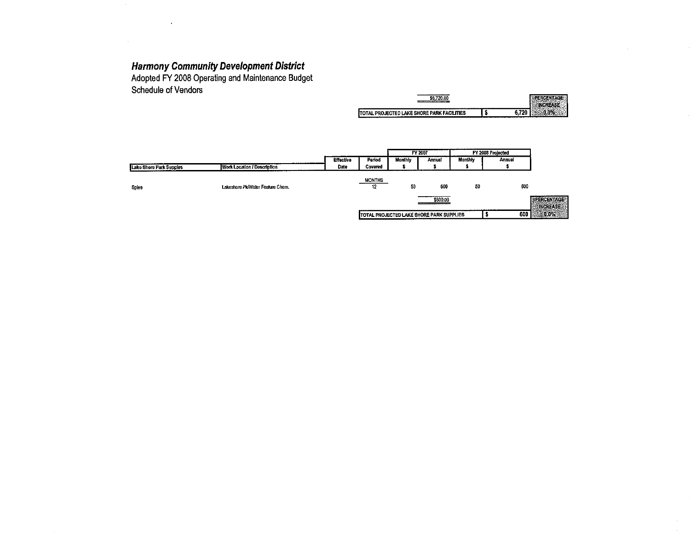$\sim 10^7$ 

 $\mathcal{L}_{\text{max}}$ 

 $\Delta$ 

Adopted FY 2008 Operating and Maintenance Budget Schedule of Vendors

| <b>.</b>                                                        |  |
|-----------------------------------------------------------------|--|
| AKE SHORE PARK FACILITIES<br>ITC.<br>FATED<br>with.<br>'N<br>-- |  |

|                         |                                  |                  |                     | FY 2007 |                                          | FY 2008 Projected |        |                                        |
|-------------------------|----------------------------------|------------------|---------------------|---------|------------------------------------------|-------------------|--------|----------------------------------------|
|                         |                                  | <b>Effective</b> | Period              | Monthly | Annual                                   | Monthly           | Annual |                                        |
| Lake Shore Park Supples | Work Location / Description      | Date             | Covered             |         |                                          |                   |        |                                        |
| Spies                   | Lakeshore Pk/Water Feature Chem. |                  | <b>MONTHS</b><br>12 | 50      | 600                                      | 50                | 600    |                                        |
|                         |                                  |                  |                     |         | \$600.00                                 |                   |        | <b>SPERCENTAGES</b><br><b>INCREASE</b> |
|                         |                                  |                  |                     |         | TOTAL PROJECTED LAKE SHORE PARK SUPPLIES |                   | 600    | 0.0%                                   |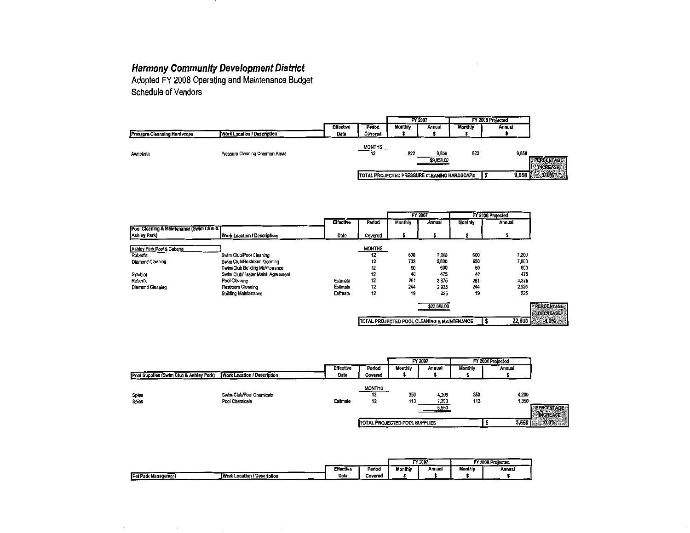**Harmony Community Development District**<br>Adopted FY 2008 Operating and Maintenance Budget Schedule of Vendors

| <b>Effective</b> | Period              | Monthly | Annual              | Monthly | Annual                                      |                               |
|------------------|---------------------|---------|---------------------|---------|---------------------------------------------|-------------------------------|
| Date             | Covered             |         |                     |         |                                             |                               |
|                  | <b>MONTHS</b><br>12 | 822     | 9,858<br>\$9,858.00 | 822     | 9,858                                       | PERCENTAGE<br><b>INCREASE</b> |
|                  |                     |         |                     |         | 9,858                                       | $1.600\%$                     |
|                  |                     |         |                     | FY 2007 | TOTAL PROJECTED PRESSURE CLEANING HARDSCAPE | FY 2008 Projected             |

|                                          |                                   |                  |         | FY 2007 |             | FY 2008 Projected |        |                     |
|------------------------------------------|-----------------------------------|------------------|---------|---------|-------------|-------------------|--------|---------------------|
|                                          |                                   | <b>Effective</b> | Period  | Monthly | Annual      | Monthly           | Annual |                     |
| Pool Cleaning & Maintenance (Swim Club & |                                   |                  |         |         |             |                   |        |                     |
| Ashley Park)                             | Work Location / Description       | Date             | Covered |         |             |                   |        |                     |
|                                          |                                   |                  |         |         |             |                   |        |                     |
| Ashley Park Pool & Cabana                |                                   |                  | MONTHS  |         |             |                   |        |                     |
| <b>Robert's</b>                          | Swim Club/Pool Cleaning           |                  | 12      | 600     | 7,200       | 600               | 7,200  |                     |
| <b>Diamond Cleaning</b>                  | Swim Club/Restroom Cleaning       |                  | 12      | 733     | 8,800       | 650               | 7,800  |                     |
|                                          | Swim/Club Building Maintenance    |                  | 12      | 50      | 600         | 50                | 600    |                     |
| Symbiot                                  | Swim Club/Heater Maint, Agreement |                  | 12      | 40      | 475         | 40                | 475    |                     |
| <b>Robert's</b>                          | Pool Cleaning                     | Estimate         | 12      | 281     | 3,375       | 281               | 3,375  |                     |
| Diamond Cleaning                         | Restroom Cleaning                 | Estimate         | 12      | 244     | 2,925       | 244               | 2,925  |                     |
|                                          | <b>Building Maintenance</b>       | Estimate         | 12      | 19      | 225         | 19                | 225    |                     |
|                                          |                                   |                  |         |         | \$23,600.00 |                   |        | <b>EPERCENTAGES</b> |

|                                                        | <b>DECREASESS</b> |
|--------------------------------------------------------|-------------------|
| <b>TOTAL PROJECTED POOL CLEANING &amp; MAINTENANCE</b> |                   |

|                                         |                                            |                  | FY 2007                   |                               | FY 2008 Projected       |            |                |                               |
|-----------------------------------------|--------------------------------------------|------------------|---------------------------|-------------------------------|-------------------------|------------|----------------|-------------------------------|
|                                         |                                            | <b>Effective</b> | Period                    | Monthly                       | Annual                  | Monthly    | Annual         |                               |
| Pool Supplies (Swim Club & Ashley Park) | <b>Work Location / Description</b>         | Date             | Covered                   |                               |                         |            |                |                               |
| Sples<br>Spies                          | Swim Club/Pool Chemicals<br>Pool Chemicals | Estimate         | <b>MONTHS</b><br>12<br>12 | 350<br>113                    | 4.200<br>1,350<br>5,550 | 350<br>113 | 4,200<br>1,350 | PERCENTAGE<br><b>INCREASE</b> |
|                                         |                                            |                  |                           | TOTAL PROJECTED POOL SUPPLIES |                         |            | 5,550          | $0.0\%$                       |
|                                         |                                            |                  |                           |                               |                         |            |                |                               |

|                                                                     |           |         |         | FY 2007 | FY 2008 Projected |        |  |
|---------------------------------------------------------------------|-----------|---------|---------|---------|-------------------|--------|--|
| ------                                                              | Effective | Period  | Monthly | Annual  | Monthly           | Annual |  |
| Work Location / Description<br>Pat Pa<br><b>Yk Management</b><br>__ | Date      | Covered |         |         |                   |        |  |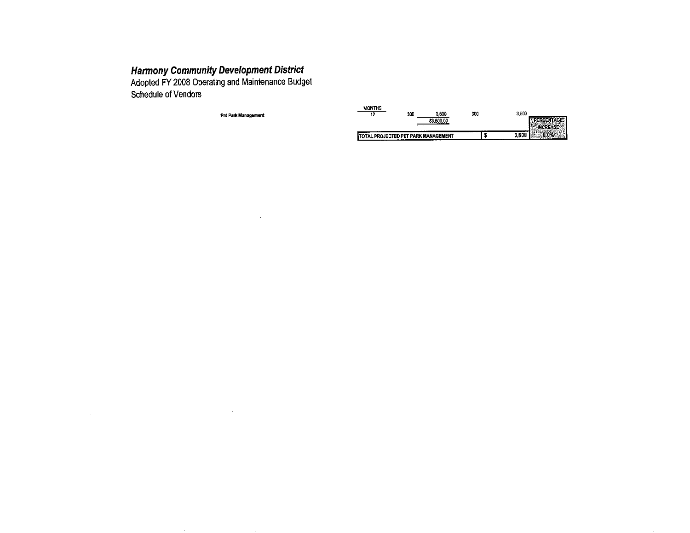Adopted FY 2008 Operating and Maintenance Budget Schedule of Vendors

Pet Park Management

 $\sim 10^7$ 

 $\sim 10^{-1}$ 

| <b>MONTHS</b><br>12 | 3.600<br>300<br>\$3.600.00                  | 300 | 3,600 |
|---------------------|---------------------------------------------|-----|-------|
|                     | <b>ITOTAL PROJECTED PET PARK MANAGEMENT</b> |     |       |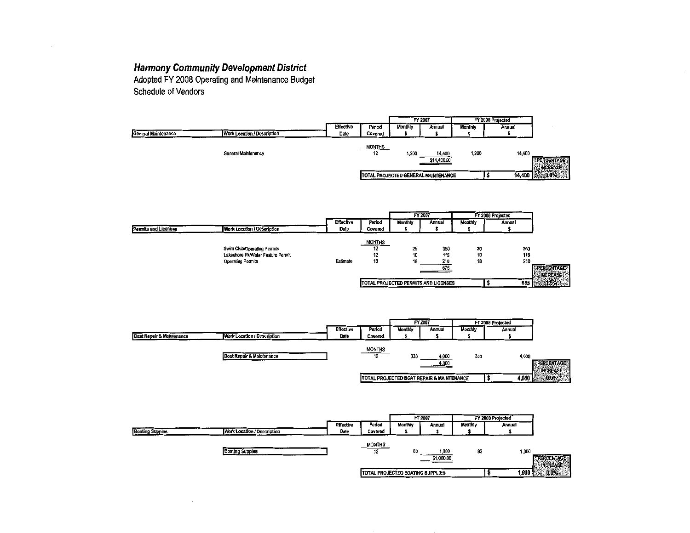Adopted FY 2008 Operating and Maintenance Budget Schedule of Vendors

|                                                                  |                  |               | FY 2007 |                                     | FY 2006 Projected |        |                                          |
|------------------------------------------------------------------|------------------|---------------|---------|-------------------------------------|-------------------|--------|------------------------------------------|
|                                                                  | <b>Effective</b> | Period        | Monthly | Annual                              | <b>Monthly</b>    | Annual |                                          |
| <b>General Maintenance</b><br><b>Work Location / Description</b> | Date             | Covered       |         |                                     |                   |        |                                          |
|                                                                  |                  | <b>MONTHS</b> |         |                                     |                   |        |                                          |
| General Maintenance                                              |                  | 12            | 1,200   | 14,400                              | 1,200             | 14,400 |                                          |
|                                                                  |                  |               |         | \$14,400.00                         |                   |        | <b>EPERCENTAGE</b><br><b>EQUINCREASE</b> |
|                                                                  |                  |               |         | TOTAL PROJECTED GENERAL MAINTENANCE |                   | 14,400 | 24.30.0%                                 |

|                      |                                   |                  |               | FY 2007        |                                      | FY 2008 Projected |        |                                   |
|----------------------|-----------------------------------|------------------|---------------|----------------|--------------------------------------|-------------------|--------|-----------------------------------|
|                      |                                   | <b>Effective</b> | Period        | <b>Monthly</b> | Annual                               | Monthly           | Annual |                                   |
| Permits and Licenses | Work Location / Description       | Date             | Covered       |                |                                      |                   |        |                                   |
|                      |                                   |                  |               |                |                                      |                   |        |                                   |
|                      |                                   |                  | <b>MONTHS</b> |                |                                      |                   |        |                                   |
|                      | Swim Club/Operating Permits       |                  | 12            | 29             | 350                                  | 30                | 360    |                                   |
|                      | Lakeshore Pk/Water Feature Permit |                  | 12            | 10             | 115                                  | 10                | 115    |                                   |
|                      | Operating Permits                 | Estimate         | 12            | 18             | 210                                  | 18                | 210    |                                   |
|                      |                                   |                  |               |                | 675                                  |                   |        | <b><i><b>EPERCENTAGES</b></i></b> |
|                      |                                   |                  |               |                |                                      |                   |        | <b>INCREASE</b>                   |
|                      |                                   |                  |               |                | TOTAL PROJECTED PERMITS AND LICENSES |                   | 685    | $-1.5%$                           |
|                      |                                   |                  |               |                |                                      |                   |        |                                   |



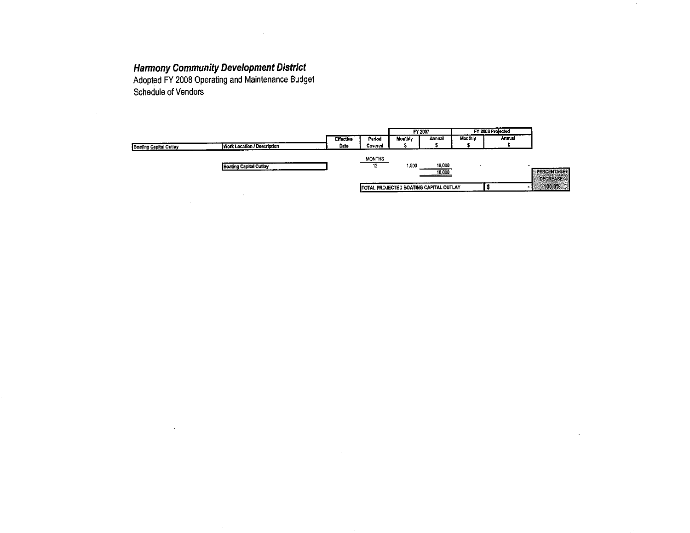$\sim$ 

**Harmony Community Development District**<br>Adopted FY 2008 Operating and Maintenance Budget<br>Schedule of Vendors

 $\Delta \sim 10^4$ 

 $\sim$ 

 $\alpha$ 

|                               |                                    |                  | FY 2007       |                |                                        |                | <b>FY 2008 Projected</b> |                     |
|-------------------------------|------------------------------------|------------------|---------------|----------------|----------------------------------------|----------------|--------------------------|---------------------|
|                               |                                    | <b>Effective</b> | Period        | <b>Monthly</b> | Annual                                 | <b>Monthly</b> | Annual                   |                     |
| <b>Boating Capital Outlay</b> | <b>Work Location / Description</b> | Date             | Covered       |                |                                        |                |                          |                     |
|                               |                                    |                  |               |                |                                        |                |                          |                     |
|                               |                                    |                  | <b>MONTHS</b> |                |                                        |                |                          |                     |
|                               | <b>Boating Capital Outlay</b>      |                  | 12            | 1.500          | 18,000                                 |                |                          | <b>REERCENTAGE®</b> |
|                               |                                    |                  |               |                | 18,000                                 |                |                          | <b>DECREASE</b>     |
|                               |                                    |                  |               |                | TOTAL PROJECTED BOATING CAPITAL OUTLAY |                |                          | $-100.0%$           |
|                               |                                    |                  |               |                |                                        |                |                          |                     |
|                               |                                    |                  |               |                |                                        |                |                          |                     |

 $\sim$ 

 $\mathbf{r}$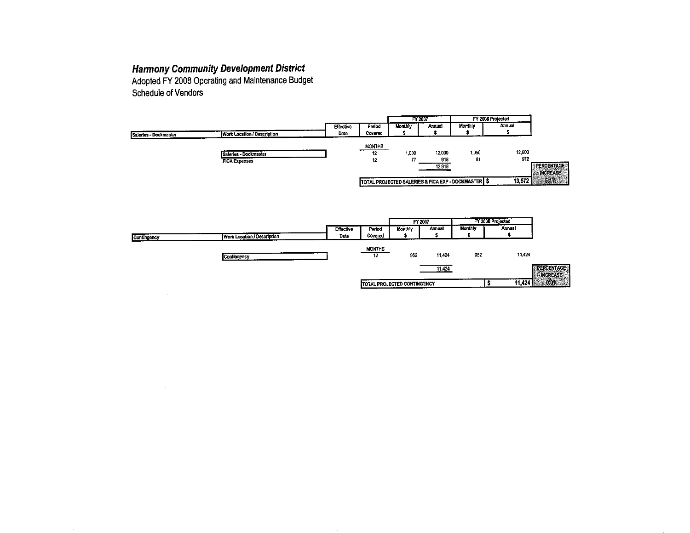Adopted FY 2008 Operating and Maintenance Budget **Schedule of Vendors** 

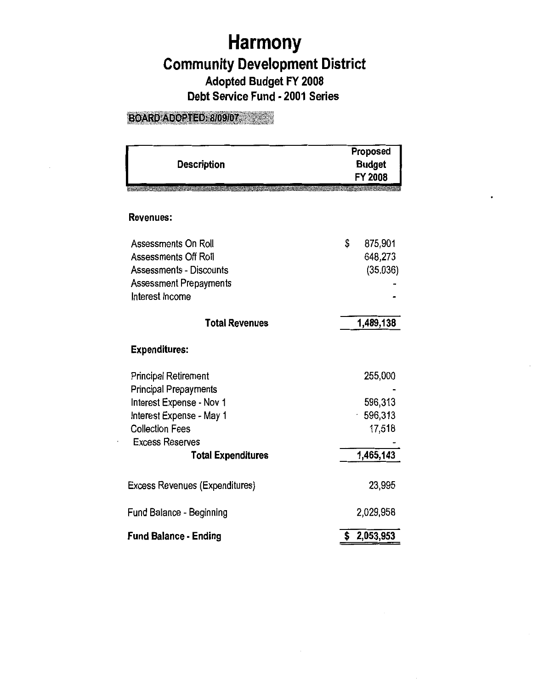# **Harmony Community Development District Adopted Budget FY 2008 Debt Service Fund • 2001 Series**

## BOARD ADOPTED: 8/09/07

| <b>Description</b>                    | Proposed<br><b>Budget</b><br>FY 2008 |
|---------------------------------------|--------------------------------------|
| <b>Revenues:</b>                      |                                      |
| Assessments On Roll                   | \$<br>875,901                        |
| <b>Assessments Off Roll</b>           | 648,273                              |
| <b>Assessments - Discounts</b>        | (35,036)                             |
| Assessment Prepayments                |                                      |
| Interest Income                       |                                      |
| <b>Total Revenues</b>                 | 1,489,138                            |
| <b>Expenditures:</b>                  |                                      |
| <b>Principal Retirement</b>           | 255,000                              |
| <b>Principal Prepayments</b>          |                                      |
| Interest Expense - Nov 1              | 596,313                              |
| Interest Expense - May 1              | 596,313                              |
| <b>Collection Fees</b>                | 17,518                               |
| <b>Excess Reserves</b>                |                                      |
| <b>Total Expenditures</b>             | 1,465,143                            |
| <b>Excess Revenues (Expenditures)</b> | 23,995                               |
| <b>Fund Balance - Beginning</b>       | 2,029,958                            |
| <b>Fund Balance - Ending</b>          | 2,053,953                            |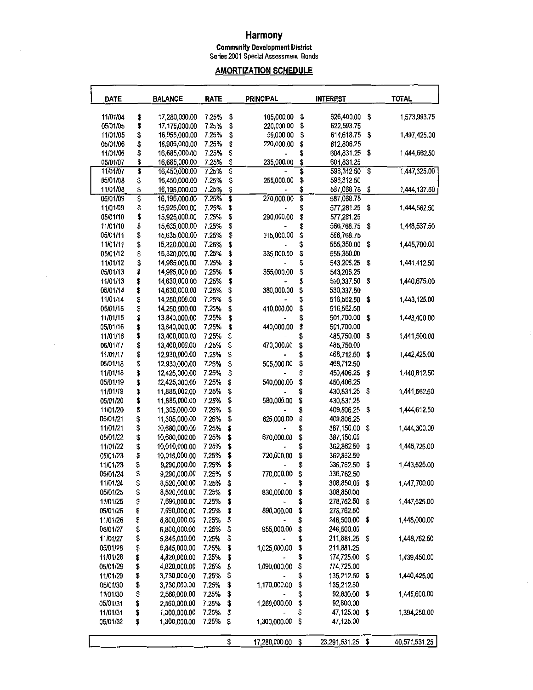## **Harmony**

**Community Development District**  Series 2001 Special Assessment Bonds

## **AMORTIZATION SCHEDULE**

| <b>DATE</b>          |          | <b>BALANCE</b>                 | <b>RATE</b>    |         | <b>PRINCIPAL</b> |          | <b>INTEREST</b>          | <b>TOTAL</b>                |               |  |
|----------------------|----------|--------------------------------|----------------|---------|------------------|----------|--------------------------|-----------------------------|---------------|--|
| 11/01/04             | \$       | 17,280,000.00                  | 7.25%          | \$      | 105,000.00       | \$       | 626,400.00               | \$                          | 1,573,993.75  |  |
| 05/01/05             | \$       | 17,175,000.00                  | 7.25%          | \$      | 220,000.00       | \$       | 622,593.75               |                             |               |  |
| 11/01/05             | \$       | 16,955,000.00                  | 7.25%          | \$      | 50,000.00        | \$       | 614,618.75               | \$                          | 1,497,425.00  |  |
| 05/01/06             | \$       | 16,905,000.00                  | 7.25%          | \$      | 220,000.00       | \$       | 612,806.25               |                             |               |  |
| 11/01/06             | \$       | 16,685,000.00                  | 7.25%          | \$      |                  | \$       | 604,831.25               | \$                          | 1,444,662.50  |  |
| 05/01/07             | \$       | 16,685,000.00                  | 7.25%          | \$      | 235,000.00       | \$       | 604,831.25               |                             |               |  |
| 11/01/07             | \$       | 16,450,000.00                  | 7.25%          | \$      |                  | \$       | 596,312.50 \$            |                             | 1,447,625.00  |  |
| 05/01/08             | \$       | 16,450,000.00                  | 7.25%          | \$      | 255,000.00       | \$       | 596,312.50               |                             |               |  |
| 11/01/08             | \$       | 16,195,000.00                  | 7.25%          | \$      |                  | \$       | 587,068.75               | \$                          | 1,444,137.50  |  |
| 05/01/09             | Ş        | 16,195,000.00                  | 7.25%          | \$      | 270,000.00       | \$       | 587,068.75               |                             |               |  |
| 11/01/09             | \$       | 15,925,000.00                  | 7.25%          | \$      |                  | \$       | 577,281.25               | \$                          | 1,444,562.50  |  |
| 05/01/10             | \$       | 15,925,000.00                  | 7.25%          | \$      | 290,000.00       | \$       | 577,281.25               |                             |               |  |
| 11/01/10             | \$       | 15,635,000.00                  | 7.25%          | \$      |                  | \$       | 566,768.75               | \$                          | 1,448,537.50  |  |
| 05/01/11             | \$       | 15,635,000.00                  | 7.25%          | \$      | 315,000.00       | \$       | 566,768.75               |                             |               |  |
| 11/01/11             | \$       | 15,320,000.00                  | 7.25%          | \$      |                  | \$       | 555,350.00               | \$                          | 1,445,700.00  |  |
| 05/01/12             | \$       | 15,320,000.00                  | 7.25%          | \$      | 335,000.00       | \$       | 555,350.00               |                             |               |  |
| 11/01/12             | \$       | 14,985,000.00                  | 7.25%          | \$      |                  | \$       | 543,206.25               | \$                          | 1,441,412.50  |  |
| 05/01/13             | \$       | 14,985,000.00                  | 7.25%          | \$      | 355,000.00       | \$       | 543,206.25               |                             |               |  |
| 11/01/13             | \$       | 14,630,000.00                  | 7.25%          | \$      |                  | \$       | 530,337.50               | \$                          | 1,440,675.00  |  |
| 05/01/14             | \$       | 14,630,000.00                  | 7.25%          | \$      | 380,000.00       | \$       | 530,337.50               |                             |               |  |
| 11/01/14             | \$       | 14,250,000.00                  | 7.25%          | \$      |                  | \$       | 516,562.50               | \$                          | 1,443,125.00  |  |
| 05/01/15             | \$       | 14,250,000.00                  | 7.25%          | \$      | 410,000.00       | \$       | 516,562.50               |                             |               |  |
| 11/01/15             | \$       | 13,840,000.00                  | 7.25%          | \$      |                  | \$       | 501,700.00               | \$                          | 1,443,400.00  |  |
| 05/01/16             | \$       | 13,840,000.00                  | 7,25%          | \$      | 440,000.00       | \$       | 501,700.00               |                             |               |  |
| 11/01/16             | \$       | 13,400,000.00                  | 7.25%          | \$      |                  |          | 485,750.00               | \$                          | 1,441,500.00  |  |
| 05/01/17             | \$       | 13,400,000.00                  | 7.25%          | \$      | 470,000.00       | \$       | 485,750.00               |                             |               |  |
| 11/01/17             | \$       | 12,930,000.00                  | 7.25%          | \$      |                  | \$       | 468,712.50               | \$                          | 1,442,425.00  |  |
| 05/01/18             | \$       | 12,930,000.00                  | 7.25%          | \$      | 505,000.00       | \$       | 468,712.50               |                             |               |  |
| 11/01/18             | \$       | 12,425,000.00                  | 7.25%          | \$      |                  | \$       | 450,406.25               | \$                          | 1,440,812.50  |  |
| 05/01/19             | \$       | 12,425,000.00                  | 7.25%          | \$      | 540,000.00       | \$       | 450,406.25               |                             |               |  |
| 11/01/19             | \$       | 11,885,000.00                  | 7.25%          | \$      |                  | \$       | 430,831.25               | \$                          | 1,441,662.50  |  |
| 05/01/20             | \$       | 11,885,000.00                  | 7.25%          | \$      | 580,000.00       | \$       | 430,831.25               | \$                          | 1,444,612.50  |  |
| 11/01/20             | \$       | 11,305,000.00                  | 7.25%<br>7.25% | \$      | 625,000.00       | \$<br>\$ | 409,806.25<br>409,806.25 |                             |               |  |
| 05/01/21<br>11/01/21 | \$<br>\$ | 11,305,000.00                  | 7.25%          | \$<br>S |                  | \$       | 387,150.00               | \$                          | 1,444,300.00  |  |
| 05/01/22             | \$       | 10,680,000.00<br>10,680,000.00 | 7.25%          | \$      | 670,000.00       | \$       | 387,150.00               |                             |               |  |
| 11/01/22             | \$       | 10,010.000.00                  | 7.25%          | \$      |                  | \$       | 362,862.50               | \$                          | 1,445,725.00  |  |
| 05/01/23             | \$       | 10,010,000.00                  | 7.25%          | \$      | 720,000.00       | \$       | 362,862.50               |                             |               |  |
| 11/01/23             | \$       | 9,290,000.00                   | 7.25%          | \$      |                  | \$       | 336,762.50               | \$                          | 1,443,525.00  |  |
| 05/01/24             | \$       | 9,290,000.00                   | 7.25%          | \$      | 770,000.00       | \$       | 336,762.50               |                             |               |  |
| 11/01/24             | \$       | 8,520,000.00                   | 7.25%          | \$      |                  | \$       | 308,850.00               | - \$                        | 1,447,700.00  |  |
| 05/01/25             | \$       | 8,520,000.00                   | 7.25%          | \$      | 830,000.00       | \$       | 308,850.00               |                             |               |  |
| 11/01/25             | \$       | 7,690,000.00                   | 7.25%          | \$      |                  | \$       | 278,762.50               | \$                          | 1,447,525.00  |  |
| 05/01/26             | \$       | 7,690,000.00                   | 7.25%          | \$      | 890,000.00       | \$       | 278,762.50               |                             |               |  |
| 11/01/26             | \$       | 6,800,000.00                   | 7.25%          | \$      |                  | \$       | 246,500.00               | \$                          | 1,448,000.00  |  |
| 05/01/27             | \$       | 6,800,000.00                   | 7.25%          | \$      | 955,000.00       | \$       | 246,500.00               |                             |               |  |
| 11/01/27             | \$       | 5,845,000.00                   | 7.25%          | \$      |                  |          | 211,881.25               | \$                          | 1,448,762.50  |  |
| 05/01/28             | \$       | 5,845,000.00                   | 7.25%          | \$      | 1,025,000.00     | \$       | 211,881.25               |                             |               |  |
| 11/01/28             | \$       | 4,820,000.00                   | 7.25%          | \$      |                  | \$       | 174,725.00               | \$                          | 1,439,450.00  |  |
| 05/01/29             | \$       | 4,820,000.00                   | 7.25%          | \$      | 1,090,000.00     | \$       | 174,725.00               |                             |               |  |
| 11/01/29             | \$       | 3,730,000.00                   | 7.25%          | \$      |                  | \$       | 135,212.50               | $\boldsymbol{\mathfrak{s}}$ | 1,440,425.00  |  |
| 05/01/30             | \$       | 3,730,000.00                   | 7.25%          | \$      | 1,170,000.00     | \$       | 135,212.50               |                             |               |  |
| 11/01/30             | \$       | 2,560,000.00                   | 7.25%          | \$      |                  | \$       | 92,800.00                | \$                          | 1,445,600.00  |  |
| 05/01/31             | \$       | 2,560,000.00                   | 7.25%          | \$      | 1,260,000.00     | \$       | 92,800.00                |                             |               |  |
| 11/01/31             | \$       | 1,300,000.00                   | 7.25%          | \$      |                  | \$       | 47,125.00 \$             |                             | 1,394,250.00  |  |
| 05/01/32             | \$       | 1,300,000.00                   | 7.25%          | \$      | 1,300,000.00     | \$       | 47,125.00                |                             |               |  |
|                      |          |                                |                |         |                  |          |                          |                             |               |  |
|                      |          |                                |                | \$      | 17,280,000.00    | \$       | 23,291,531.25            | \$                          | 40,571,531.25 |  |
|                      |          |                                |                |         |                  |          |                          |                             |               |  |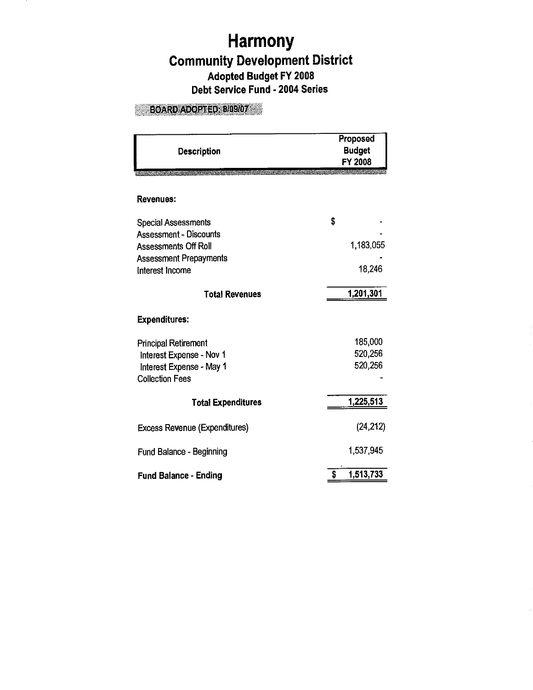## **Harmony Community Development District Adopted Budget FY 2008 Debt Service Fund** - **2004 Series**

## **BOARD ADOPTED: 8/09/07**

| <b>Description</b>                   | Proposed<br><b>Budget</b><br>FY 2008 |
|--------------------------------------|--------------------------------------|
| Revenues:                            |                                      |
| <b>Special Assessments</b>           | \$                                   |
| <b>Assessment - Discounts</b>        |                                      |
| Assessments Off Roll                 | 1,183,055                            |
| <b>Assessment Prepayments</b>        |                                      |
| Interest Income                      | 18,246                               |
| <b>Total Revenues</b>                | 1,201,301                            |
| <b>Expenditures:</b>                 |                                      |
| <b>Principal Retirement</b>          | 185,000                              |
| Interest Expense - Nov 1             | 520,256                              |
| Interest Expense - May 1             | 520,256                              |
| <b>Collection Fees</b>               |                                      |
| <b>Total Expenditures</b>            | 1,225,513                            |
| <b>Excess Revenue (Expenditures)</b> | (24, 212)                            |
| Fund Balance - Beginning             | 1,537,945                            |
| <b>Fund Balance - Ending</b>         | 1,513,733<br>\$                      |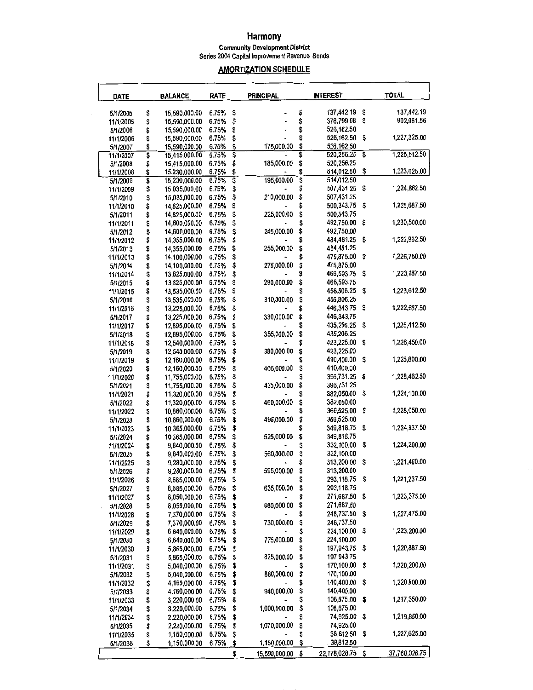#### **Harmony Community Development District Series 2004 Capital Improvement Revenue Bonds**

## **AMORTIZATION SCHEDULE**

| DATE                  |          | <b>BALANCE</b>                 | <b>RATE</b>    |          | <b>PRINCIPAL</b> |          | <b>INTEREST</b>          |    | <b>TOTAL</b>  |
|-----------------------|----------|--------------------------------|----------------|----------|------------------|----------|--------------------------|----|---------------|
| 5/1/2005              | \$       | 15,590,000.00                  | 6.75%          | \$       |                  | \$       | 137,442.19               | \$ | 137,442.19    |
| 11/1/2005             | \$       | 15,590,000.00                  | 6.75%          | \$       |                  | \$       | 376,799.06               | \$ | 902,961.56    |
| 5/1/2006              | \$       | 15,590,000.00                  | 6.75%          | \$       |                  | \$       | 526,162.50               |    |               |
| 11/1/2006             | \$       | 15,590,000.00                  | 6.75%          | \$       |                  | \$       | 526,162.50               | \$ | 1,227,325.00  |
| 5/1/2007              | \$       | 15,590,000.00                  | 6.75%          | \$       | 175,000.00       | \$       | 526,162.50               |    |               |
| 11/1/2007             | \$       | 15,415,000.00                  | 6.75%          | \$       |                  | \$       | 520,256.25               | \$ | 1,225,512.50  |
| 5/1/2008              | \$       | 15,415,000.00                  | 6.75%          | \$       | 185,000.00       | \$<br>\$ | 520,256.25<br>514,012.50 | \$ | 1,223,025.00  |
| 11/1/2008<br>5/1/2009 | \$<br>\$ | 15,230,000.00<br>15,230,000.00 | 6.75%<br>6.75% | \$<br>\$ | 195,000.00       | \$       | 514,012.50               |    |               |
| 11/1/2009             | \$       | 15,035,000.00                  | 6.75%          | \$       |                  | \$       | 507,431.25               | \$ | 1,224,862.50  |
| 5/1/2010              | \$       | 15,035,000.00                  | 6.75%          | \$       | 210,000.00       | \$       | 507,431.25               |    |               |
| 11/1/2010             | \$       | 14,825,000.00                  | 6.75%          | \$       |                  |          | 500,343.75               | \$ | 1,225,687.50  |
| 5/1/2011              | \$       | 14,825,000.00                  | 6.75%          | \$       | 225,000.00       | \$       | 500,343.75               |    |               |
| 11/1/2011             | \$       | 14,600,000.00                  | 6.75%          | \$       |                  |          | 492,750.00               | \$ | 1,230,500.00  |
| 5/1/2012              | \$       | 14,600,000.00                  | 6.75%          | \$       | 245,000.00       | \$       | 492,750.00               |    |               |
| 11/1/2012             | \$       | 14,355,000.00                  | 6.75%          | \$       |                  |          | 484,481.25               | \$ | 1,223,962.50  |
| 5/1/2013              | \$       | 14,355,000.00                  | 6.75%          | \$       | 255,000.00       | \$       | 484,481.25               |    |               |
| 11/1/2013             | \$       | 14,100,000.00                  | 6.75%          | \$       | 275,000.00       | \$<br>\$ | 475,875.00<br>475,875.00 | \$ | 1,226,750.00  |
| 5/1/2014<br>11/1/2014 | \$<br>\$ | 14,100,000.00<br>13,825,000.00 | 6.75%<br>6.75% | \$<br>\$ |                  | S        | 466,593.75               | \$ | 1,223,187.50  |
| 5/1/2015              | \$       | 13,825,000.00                  | 6.75%          | \$       | 290,000.00       | \$       | 466,593.75               |    |               |
| 11/1/2015             | \$       | 13,535,000.00                  | 6.75%          | \$       |                  | \$       | 456,806.25               | \$ | 1,223,612.50  |
| 5/1/2016              | \$       | 13,535,000.00                  | 6.75%          | \$       | 310,000.00       | \$       | 456,806.25               |    |               |
| 11/1/2016             | \$       | 13,225,000.00                  | 6.75%          | \$       |                  |          | 446,343.75               | \$ | 1,222,687.50  |
| 5/1/2017              | \$       | 13,225,000.00                  | 6.75%          | \$       | 330,000.00       | \$       | 446,343.75               |    |               |
| 11/1/2017             | \$       | 12,895.000.00                  | 6.75%          | \$       |                  | S        | 435,206.25               | \$ | 1,225,412.50  |
| 5/1/2018              | \$       | 12,895,000.00                  | 6.75%          | \$       | 355,000.00       | \$       | 435,206.25               |    |               |
| 11/1/2018             | \$       | 12,540,000.00                  | 6.75%          | \$       |                  | \$       | 423,225.00               | \$ | 1,226,450.00  |
| 5/1/2019              | \$       | 12,540,000.00                  | 6.75%          | \$       | 380,000.00       | \$       | 423,225.00               |    |               |
| 11/1/2019             | \$       | 12,160,000.00                  | 6.75%          | \$       |                  |          | 410,400.00               | \$ | 1,225,800.00  |
| 5/1/2020              | \$       | 12,160,000.00                  | 6.75%          | \$       | 405,000.00       | \$       | 410,400.00               |    |               |
| 11/1/2020             | \$       | 11,755,000.00<br>11,755,000.00 | 6.75%<br>6.75% | \$<br>\$ | 435,000.00       | \$<br>\$ | 396,731.25<br>396,731.25 | \$ | 1,228,462.50  |
| 5/1/2021<br>11/1/2021 | \$<br>\$ | 11,320,000.00                  | 6.75%          | \$       |                  |          | 382,050.00               | \$ | 1,224,100.00  |
| 5/1/2022              | \$       | 11,320,000.00                  | 6.75%          | \$       | 460,000.00       | \$       | 382,050.00               |    |               |
| 11/1/2022             | \$       | 10,860,000.00                  | 6.75%          | \$       |                  | \$       | 366,525.00               | \$ | 1,228,050.00  |
| 5/1/2023              | \$       | 10,860,000.00                  | 6.75%          | \$       | 495,000.00       | \$       | 366,525.00               |    |               |
| 11/1/2023             | \$       | 10,365,000.00                  | 6.75%          | \$       |                  |          | 349,818.75               | \$ | 1,224,637.50  |
| 5/1/2024              | \$       | 10,365,000.00                  | 6.75%          | \$       | 525,000.00       | \$       | 349,818.75               |    |               |
| 11/1/2024             | \$       | 9,840,000.00                   | 6.75%          | \$       |                  |          | 332,100.00               | \$ | 1,224,200.00  |
| 5/1/2025              | \$       | 9,840,000.00                   | 6.75%          | \$       | 560,000.00       | \$       | 332,100.00               |    |               |
| 11/1/2025             | \$       | 9,280,000.00                   | 6.75%          | \$       |                  |          | 313,200.00               | \$ | 1,221,400.00  |
| 5/1/2026              | \$       | 9,280,000.00                   | 6.75%          | \$       | 595,000.00       | \$       | 313,200.00               |    | 1,221,237.50  |
| 11/1/2026             | \$       | 8,685,000.00                   | 6.75%<br>6.75% | \$<br>\$ | 635,000.00       | \$       | 293,118.75<br>293,118.75 | Ş  |               |
| 5/1/2027<br>11/1/2027 | \$<br>\$ | 8,685,000.00<br>8,050,000.00   | 6.75%          | \$       |                  |          | 271,687.50               | \$ | 1,223,375.00  |
| 5/1/2028              | \$       | 8,050,000.00                   | 6.75%          | \$       | 680,000.00       | \$       | 271,687.50               |    |               |
| 11/1/2028             | \$       | 7,370,000.00                   | 6.75%          | \$       |                  |          | 248,737.50               | \$ | 1,227,475.00  |
| 5/1/2029              | \$       | 7.370.000.00                   | 6.75%          | \$       | 730,000.00       | \$       | 248,737.50               |    |               |
| 11/1/2029             | \$       | 6,640,000.00                   | 6.75%          | \$       |                  |          | 224,100.00               | \$ | 1,223,200.00  |
| 5/1/2030              | \$       | 6,640,000.00                   | 6.75%          | \$       | 775,000.00       | \$       | 224,100.00               |    |               |
| 11/1/2030             | \$       | 5,865,000.00                   | 6.75%          | \$       |                  |          | 197,943.75               | \$ | 1,220,887.50  |
| 5/1/2031              | \$       | 5,865,000.00                   | 6.75%          | \$       | 825,000.00       | \$       | 197,943.75               |    |               |
| 11/1/2031             | \$       | 5,040,000.00                   | 6.75%          | \$       |                  | \$       | 170,100.00               | \$ | 1,220,200.00  |
| 5/1/2032              | \$       | 5,040,000.00                   | 6.75%          | \$       | 880,000.00       | \$       | 170,100.00<br>140,400.00 | \$ | 1,220,800.00  |
| 11/1/2032             | \$       | 4,160,000.00<br>4,160,000.00   | 6.75%<br>6.75% | \$       | 940,000.00       | \$       | 140,400.00               |    |               |
| 5/1/2033<br>11/1/2033 | \$<br>\$ | 3,220,000.00                   | 6.75%          | \$<br>\$ |                  |          | 108,675.00               | \$ | 1,217,350.00  |
| 5/1/2034              | \$       | 3,220,000.00                   | 6.75%          | \$       | 1,000,000.00     | \$       | 108,675.00               |    |               |
| 11/1/2034             | \$       | 2,220,000.00                   | 6,75%          | \$       |                  | \$       | 74,925.00                | \$ | 1,219,850.00  |
| 5/1/2035              | \$       | 2,220,000.00                   | 6.75%          | \$       | 1,070,000.00     | \$       | 74,925.00                |    |               |
| 11/1/2035             | \$       | 1,150,000.00                   | 6.75%          | \$       |                  |          | 38,812.50                | \$ | 1,227,625.00  |
| 5/1/2036              | \$       | 1,150,000.00                   | 6.75%          | \$       | 1,150,000.00     | \$       | 38,812.50                |    |               |
|                       |          |                                |                | \$       | 15,590,000.00    | \$       | 22,178,028.75            | \$ | 37,768,028.75 |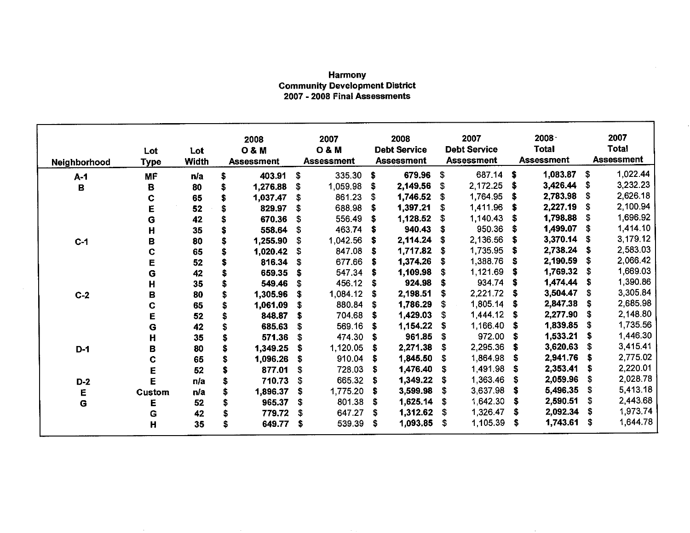### Harmony Community Development District 2007 - 2008 Final Assessments

٦

| Neighborhood | Lot<br><b>Type</b> | Lot<br><b>Width</b> | 2008<br><b>O&amp;M</b><br><b>Assessment</b> |             | 2007<br><b>O&amp;M</b><br><b>Assessment</b> |    | 2008<br><b>Debt Service</b><br><b>Assessment</b> |    | 2007<br><b>Debt Service</b><br><b>Assessment</b> |    | 2008<br><b>Total</b><br><b>Assessment</b> |      | 2007<br><b>Total</b><br><b>Assessment</b> |
|--------------|--------------------|---------------------|---------------------------------------------|-------------|---------------------------------------------|----|--------------------------------------------------|----|--------------------------------------------------|----|-------------------------------------------|------|-------------------------------------------|
| $A-1$        | <b>MF</b>          | n/a                 | \$<br>403.91                                | \$          | 335.30                                      | \$ | 679.96                                           | \$ | 687.14                                           | \$ | 1,083.87                                  | \$.  | 1,022.44                                  |
| B            | В                  | 80                  | \$<br>1,276.88                              | \$          | 1,059.98                                    | \$ | 2,149.56                                         | \$ | 2,172.25                                         | \$ | 3,426.44                                  | S    | 3,232.23                                  |
|              | C                  | 65                  | 1,037.47                                    | \$          | 861.23                                      | S  | 1,746.52                                         |    | 1,764.95                                         | \$ | 2,783.98                                  | S    | 2,626.18                                  |
|              | E                  | 52                  | \$<br>829.97                                | \$          | 688.98                                      | \$ | 1,397.21                                         |    | 1,411.96                                         | \$ | 2,227.19                                  | S    | 2,100.94                                  |
|              | G                  | 42                  | \$<br>670.36                                | \$          | 556.49                                      | \$ | 1,128.52                                         |    | 1 140 43                                         | \$ | 1,798.88                                  | S    | 1,696.92                                  |
|              | Η                  | 35                  | 558.64                                      | \$          | 463.74                                      | S  | 940.43                                           |    | 950.36                                           | S  | 1,499.07                                  | S    | 1,414.10                                  |
| $C-1$        | B                  | 80                  | \$<br>1,255.90                              | \$          | 1,042.56                                    | \$ | 2,114.24                                         | S  | 2,136.56                                         | \$ | 3,370.14                                  | S    | 3,179.12                                  |
|              | C                  | 65                  | \$<br>1,020.42                              | \$          | 847.08                                      | \$ | 1,717.82                                         | S  | 1,735.95                                         | S  | 2,738.24                                  | S    | 2,583.03                                  |
|              | E                  | 52                  | \$<br>816.34                                | S           | 677.66                                      | S  | 1,374.26                                         |    | 1,388.76                                         | S. | 2,190.59                                  | \$   | 2,066.42                                  |
|              | G                  | 42                  | \$<br>659.35                                | \$          | 547.34                                      | \$ | 1,109.98                                         | S  | 1,121.69                                         | S  | 1,769.32                                  | -S   | 1,669.03                                  |
|              | Н                  | 35                  | \$<br>549.46                                | \$          | 456.12                                      | S  | 924.98                                           | s  | 934.74                                           | S  | 1,474.44                                  | -S   | 1,390.86                                  |
| $C-2$        | B                  | 80                  | \$<br>1,305.96                              | S           | 1,084.12                                    | \$ | 2,198.51                                         | s  | 2,221.72                                         | S. | 3,504.47                                  | \$   | 3,305.84                                  |
|              | C                  | 65                  | \$<br>1,061.09                              | S           | 880.84                                      | \$ | 1,786.29                                         | \$ | 1,805.14                                         | -S | 2,847.38                                  | -S   | 2,685.98                                  |
|              | E                  | 52                  | \$<br>848.87                                | S           | 704.68                                      | \$ | 1,429.03                                         | S  | 1,444.12                                         | S  | 2,277.90                                  | \$   | 2,148.80                                  |
|              | G                  | 42                  | \$<br>685.63                                | S           | 569.16                                      | \$ | 1,154.22                                         | s  | 1,166.40                                         | \$ | 1,839.85                                  | \$   | 1,735.56                                  |
|              | Η                  | 35                  | \$<br>571.36                                | \$          | 474.30                                      | \$ | 961.85                                           | S  | 972.00                                           | £. | 1,533.21                                  | -S   | 1,446.30                                  |
| $D-1$        | В                  | 80                  | 1,349.25                                    | S           | 1,120.05                                    | \$ | 2,271.38                                         | S  | 2,295.36                                         | S  | 3,620.63                                  | - \$ | 3,415.41                                  |
|              | C                  | 65                  | \$<br>1,096.26                              | S           | 910.04                                      | \$ | 1,845.50                                         | \$ | 1,864.98                                         | \$ | 2,941.76                                  | -S   | 2,775.02                                  |
|              | Ë                  | 52                  | \$<br>877.01                                | $\mathbf s$ | 728.03                                      | \$ | 1,476.40                                         | S  | 1,491.98                                         | S  | 2,353.41                                  | S    | 2,220.01                                  |
| $D-2$        | Ë                  | n/a                 | 710.73                                      | \$          | 665.32                                      | S  | 1,349.22                                         | S  | 1,363.46                                         | S  | 2,059.96                                  | - \$ | 2,028.78                                  |
| E            | Custom             | n/a                 | \$<br>1,896.37                              | \$          | 1,775.20                                    | S. | 3,599.98                                         | \$ | 3,637.98                                         | \$ | 5,496.35                                  | \$   | 5,413.18                                  |
| Ġ            | Е                  | 52                  | \$<br>965.37                                | \$          | 801.38                                      | \$ | 1,625.14                                         | \$ | 1,642.30                                         | S  | 2,590.51                                  | S    | 2,443.68                                  |
|              | G                  | 42                  | \$<br>779.72                                | S           | 647.27                                      | S  | 1,312.62                                         | S  | 1,326.47                                         | \$ | 2,092.34                                  | -5   | 1,973.74                                  |
|              | H                  | 35                  | \$<br>649.77                                | \$          | 539.39                                      | \$ | 1,093.85                                         | \$ | 1,105.39                                         | \$ | 1,743.61                                  | \$   | 1,644.78                                  |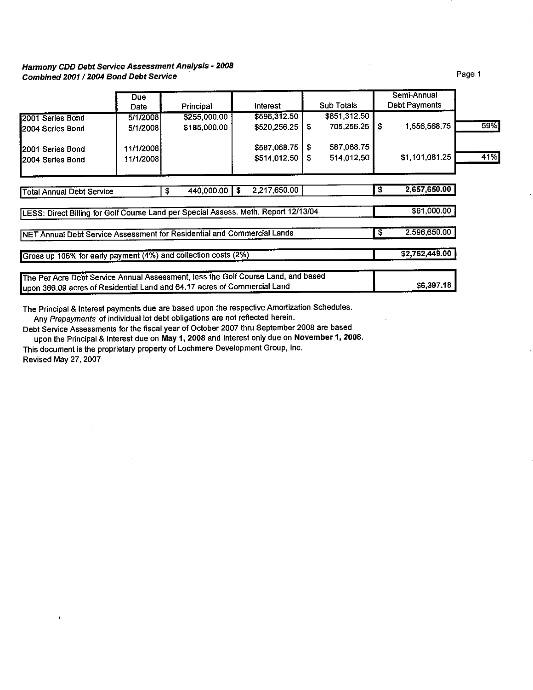## **Harmony CDD Debt Service Assessment Analysis** • **2008 Combined 2001** *I* **2004 Bond Debt Service**

|                                                                                     | <b>Due</b><br>Date | Principal        | Interest             |    | <b>Sub Totals</b> | Semi-Annual<br>Debt Payments |     |
|-------------------------------------------------------------------------------------|--------------------|------------------|----------------------|----|-------------------|------------------------------|-----|
| 2001 Series Bond                                                                    | 5/1/2008           | \$255,000.00     | \$596,312.50         |    | \$851,312.50      |                              |     |
| 2004 Series Bond                                                                    | 5/1/2008           | \$185,000.00     | \$520,256.25         | S. | 705,256.25        | \$<br>1.556,568.75           | 59% |
| 2001 Series Bond                                                                    | 11/1/2008          |                  | \$587,068.75         | S  | 587,068.75        |                              |     |
| 2004 Series Bond                                                                    | 11/1/2008          |                  | \$514,012.50         | S  | 514,012.50        | \$1,101,081.25               | 41% |
|                                                                                     |                    |                  |                      |    |                   |                              |     |
| <b>Total Annual Debt Service</b>                                                    |                    | 440,000.00<br>\$ | 2,217,650.00<br>- \$ |    |                   | \$<br>2,657,650.00           |     |
| LESS: Direct Billing for Golf Course Land per Special Assess. Meth. Report 12/13/04 |                    |                  |                      |    |                   | \$61,000.00                  |     |
| NET Annual Debt Service Assessment for Residential and Commercial Lands             |                    |                  |                      |    |                   | \$<br>2.596,650.00           |     |
| Gross up 106% for early payment (4%) and collection costs (2%)                      |                    |                  |                      |    |                   | \$2,752,449.00               |     |
| The Per Acre Debt Service Annual Assessment, less the Golf Course Land, and based   |                    |                  |                      |    |                   |                              |     |
| upon 366.09 acres of Residential Land and 64.17 acres of Commercial Land            |                    |                  |                      |    |                   | \$6,397.18                   |     |

The Principal & Interest payments due are based upon the respective Amortization Schedules. Any Prepayments of individual lot debt obligations are not reflected herein.

Debt Service Assessments for the fiscal year of October 2007 thru September 2008 are based upon the Principal & Interest due on **May 1, 2008** and Interest only due on **November 1, 2008.** 

This document is the proprietary property of Lochmere Development Group, Inc.

Revised May 27, 2007

 $\bar{1}$ 

Page 1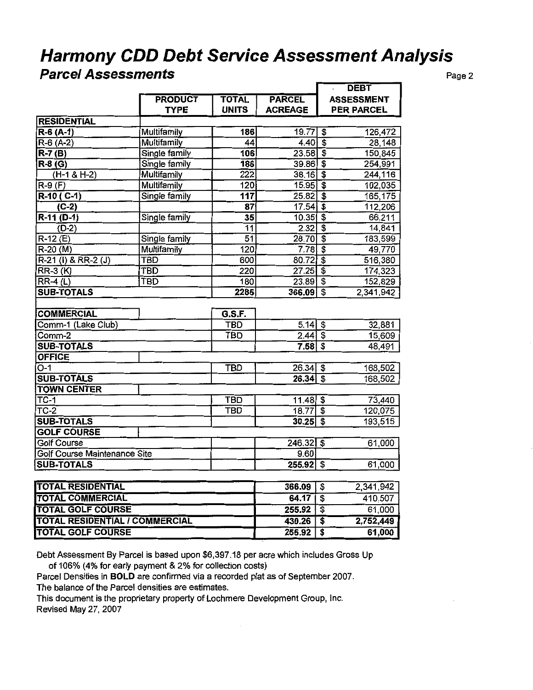# **Harmony CDD Debt Service Assessment Analysis**

## **Parcel Assessments** Page 2

|                                       |                    |                  |                | <b>DEBT</b>                                       |
|---------------------------------------|--------------------|------------------|----------------|---------------------------------------------------|
|                                       | <b>PRODUCT</b>     | <b>TOTAL</b>     | <b>PARCEL</b>  | <b>ASSESSMENT</b>                                 |
|                                       | <b>TYPE</b>        | <b>UNITS</b>     | <b>ACREAGE</b> | <b>PER PARCEL</b>                                 |
| <b>RESIDENTIAL</b>                    |                    |                  |                |                                                   |
| R-6 (A-1)                             | Multifamily        | 186              | 19.77          | $\overline{\$}$<br>126,472                        |
| $R-6(A-2)$                            | <b>Multifamily</b> | 44               | $4.40 $ \$     | 28,148                                            |
| $R-7(B)$                              | Single family      | 106              | $23.58$ \$     | 150,845                                           |
| R-8 (G)                               | Single family      | 186              | $39.86$ \$     | 254,991                                           |
| $(H-1 & H-2)$                         | Multifamily        | 222              | 38.16          | $\overline{\mathfrak{s}}$<br>244,116              |
| $R-9(F)$                              | <b>Multifamily</b> | 120              | $15.95$ \$     | 102,035                                           |
| $R-10( C-1)$                          | Single family      | $\overline{117}$ | 25.82          | $\overline{\mathfrak{s}}$<br>165,175              |
| $(C-2)$                               |                    | 87               | 17.54          | $\overline{\boldsymbol{\mathfrak{s}}}$<br>112,206 |
| $R-11$ (D-1)                          | Single family      | $\overline{35}$  | $10.35$ \$     | 66,211                                            |
| $(D-2)$                               |                    | $\overline{11}$  | 2.32           | $\overline{\boldsymbol{\mathsf{s}}}$<br>14,841    |
| $R-12(E)$                             | Single family      | 51               | $28.70$ \$     | 183,599                                           |
| $R-20(M)$                             | Multifamily        | 120              | 7.78           | $\overline{\mathbf{3}}$<br>49,770                 |
| R-21 (I) & RR-2 (J)                   | <b>TBD</b>         | 600              | $80.72$ \$     | 516,380                                           |
| $RR-3 (K)$                            | TBD                | 220              | $27.25$ \$     | 174,323                                           |
| $RR-4(L)$                             | <b>TBD</b>         | 180              | $23.89$ \$     | 152,829                                           |
| <b>SUB-TOTALS</b>                     |                    | 2285             | $366.09$ \$    | 2,341,942                                         |
|                                       |                    |                  |                |                                                   |
| <b>COMMERCIAL</b>                     |                    | G.S.F.           |                |                                                   |
| Comm-1 (Lake Club)                    |                    | <b>TBD</b>       | $5.14$ \$      | 32,881                                            |
| Comm-2                                |                    | <b>TBD</b>       | $2.44$ \$      | 15,609                                            |
| <b>SUB-TOTALS</b>                     |                    |                  | $7.58$ \$      | 48,491                                            |
| <b>OFFICE</b>                         |                    |                  |                |                                                   |
| $\overline{O-1}$                      |                    | <b>TBD</b>       | $26.34$ \$     | 168,502                                           |
| <b>SUB-TOTALS</b>                     |                    |                  | $26.34$ \$     | 168,502                                           |
| <b>TOWN CENTER</b>                    |                    |                  |                |                                                   |
| $TC-1$                                |                    | <b>TBD</b>       | $11.48$ \$     | 73,440                                            |
| $\overline{TC-2}$                     |                    | <b>TBD</b>       | 18.77          | ङ<br>120,075                                      |
| <b>SUB-TOTALS</b>                     |                    |                  | $30.25$ \$     | 193,515                                           |
| <b>GOLF COURSE</b>                    |                    |                  |                |                                                   |
| <b>Golf Course</b>                    |                    |                  | 246.32         | $\overline{\mathbf{s}}$<br>61,000                 |
| Golf Course Maintenance Site          |                    |                  | 9.60           |                                                   |
| <b>SUB-TOTALS</b>                     |                    |                  | $255.92$ \$    | 61,000                                            |
|                                       |                    |                  |                |                                                   |
| <b>TOTAL RESIDENTIAL</b>              |                    |                  | 366.09         | $\overline{\mathbf{3}}$<br>2.341,942              |
| <b>TOTAL COMMERCIAL</b>               |                    |                  | 64.17          | $\overline{\mathbf{s}}$<br>410,507                |
| <b>TOTAL GOLF COURSE</b>              |                    |                  | 255.92         | 61,000<br>$\overline{\$}$                         |
| <b>TOTAL RESIDENTIAL / COMMERCIAL</b> |                    |                  | 430.26         | t<br>2,752,449                                    |
| <b>TOTAL GOLF COURSE</b>              |                    |                  | 255.92         | 3<br>61,000                                       |
|                                       |                    |                  |                |                                                   |

Debt Assessment By Parcel is based upon \$6,397.18 per acre which includes Gross Up of 106% (4% for early payment & 2% for collection costs)

Parcel Densities in **BOLD** are confirmed via a recorded plat as of September 2007. The balance of the Parcel densities are estimates.

This document is the proprietary property of Lochmere Development Group, Inc. Revised May 27, 2007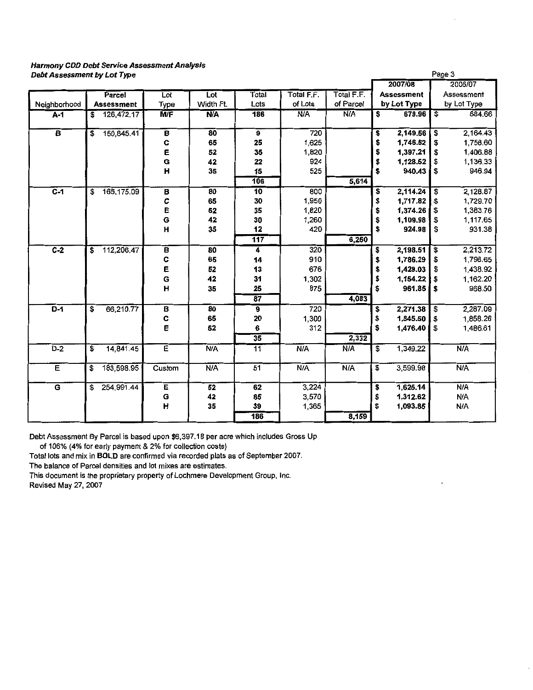#### **Harmony CDD Debt Service Assessment Analysis Debt Assessment by Lot Type**

| Debt Assessment by Lot Type |                                       |                         | Page 3     |                 |            |            |                   |                 |             |
|-----------------------------|---------------------------------------|-------------------------|------------|-----------------|------------|------------|-------------------|-----------------|-------------|
|                             |                                       |                         |            |                 |            |            | 2007/08           |                 | 2006/07     |
|                             | <b>Parcel</b>                         | Lot                     | Lot        | Total           | Total F.F. | Total F.F. | <b>Assessment</b> |                 | Assessment  |
| Neighborhood                | <b>Assessment</b>                     | Type                    | Width Ft.  | Lots            | of Lots    | of Parcel  | by Lot Type       |                 | by Lot Type |
| A-1                         | $\overline{\mathbf{s}}$<br>126,472.17 | <b>M/F</b>              | <b>N/A</b> | 186             | <b>N/A</b> | N/A        | 679.96<br>\$      | $\overline{\$}$ | 684.66      |
| $\overline{\mathbf{B}}$     | 150,845.41<br>\$                      | B                       | 80         | 9               | 720        |            | 2,149.56<br>\$    | \$              | 2,164.43    |
|                             |                                       | C                       | 65         | 25              | 1,625      |            | \$<br>1,746.52    | \$              | 1,758.60    |
|                             |                                       | E                       | 52         | 35              | 1,820      |            | \$<br>1,397.21    | \$              | 1,406.88    |
|                             |                                       | G                       | 42         | 22              | 924        |            | \$<br>1,128.52    | \$              | 1,136.33    |
|                             |                                       | н                       | 35         | 15              | 525        |            | \$<br>940.43      | \$              | 946.94      |
|                             |                                       |                         |            | 106             |            | 5,614      |                   |                 |             |
| $\overline{c-1}$            | 165,175.09<br>\$                      | В                       | 80         | $\overline{10}$ | 800        |            | 2,114.24<br>\$    | \$              | 2,128.87    |
|                             |                                       | C                       | 65         | 30              | 1,950      |            | \$<br>1,717.82    | \$              | 1,729.70    |
|                             |                                       | E                       | 52         | 35              | 1,820      |            | \$<br>1,374.26    | \$              | 1,383.76    |
|                             |                                       | G                       | 42         | 30              | 1,260      |            | \$<br>1,109.98    | \$              | 1,117.65    |
|                             |                                       | Н                       | 35         | 12              | 420        |            | \$<br>924.98      | \$              | 931.38      |
|                             |                                       |                         |            | 117             |            | 6,250      |                   |                 |             |
| $C-2$                       | 112,206.47<br>\$                      | B                       | 80         | 4               | 320        |            | \$<br>2,198.51    | \$              | 2,213.72    |
|                             |                                       | C<br>E<br>G             | 65         | 14              | 910        |            | 1,786.29<br>\$    | \$              | 1,798.65    |
|                             |                                       |                         | 52         | 13              | 676        |            | \$<br>1,429.03    | \$              | 1,438.92    |
|                             |                                       |                         | 42         | 31              | 1,302      |            | \$<br>1,154.22    | \$              | 1,162.20    |
|                             |                                       | $\overline{H}$          | 35         | 25              | 875        |            | \$<br>961.85      | \$              | 968.50      |
|                             |                                       |                         |            | $\overline{87}$ |            | 4,083      |                   |                 |             |
| $\overline{D-1}$            | 66,210.77<br>\$                       | B                       | 80         | 9               | 720        |            | 2,271.38<br>\$    | $\overline{\$}$ | 2,287.09    |
|                             |                                       | C                       | 65         | 20              | 1,300      |            | \$<br>1,845.50    | \$              | 1,858.26    |
|                             |                                       | E                       | 52         | 6               | 312        |            | \$<br>1,476.40    | \$              | 1,486.61    |
|                             |                                       |                         |            | $\overline{35}$ |            | 2,332      |                   |                 |             |
| $D-2$                       | \$<br>14,841.45                       | Έ                       | N/A        | 11              | N/A        | N/A        | \$<br>1,349.22    |                 | N/A         |
| Έ                           | 183,598.95<br>\$                      | Custom                  | N/A        | 51              | N/A        | N/A        | \$<br>3,599.98    |                 | N/A         |
| G                           | 254,991.44<br>\$                      | E                       | 52         | 62              | 3,224      |            | 1,625.14<br>\$    |                 | <b>N/A</b>  |
|                             |                                       | G                       | 42         | 85              | 3,570      |            | \$<br>1,312.62    |                 | N/A         |
|                             |                                       | $\overline{\mathbf{H}}$ | 35         | 39              | 1,365      |            | \$<br>1,093.85    |                 | N/A         |
|                             |                                       |                         |            | 186             |            | 8,159      |                   |                 |             |

Debt Assessment By Parcel is based upon \$6,397.18 per acre which includes Gross Up

of 106% (4% for early payment & 2% for collection costs)

Total lots and mix in **BOLD** are confirmed via recorded plats as of September 2007.

**The balance of Parcel densities and lot mixes are estimates.** 

**This document is the proprietary property of Lochmere Development Group, Inc.** 

Revised May 27, 2007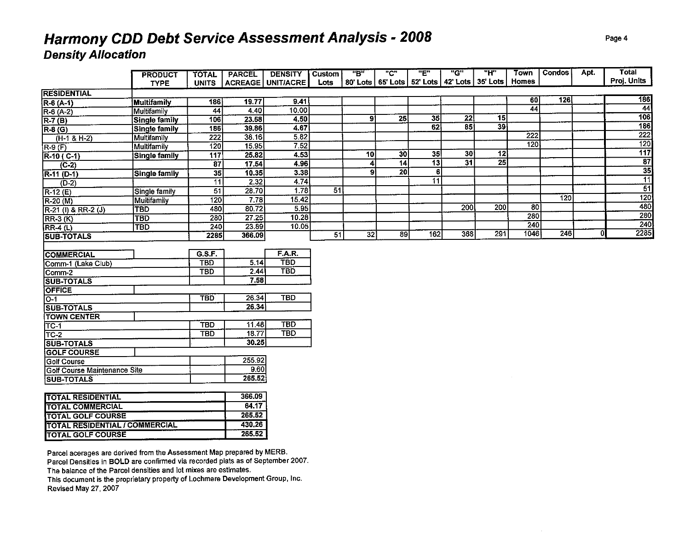# **Harmony CDD Debt Service Assessment Analysis - 2008 Density A/location**

|                                        | <b>PRODUCT</b>       | <b>TOTAL</b>     | <b>PARCEL</b> | <b>DENSITY</b>    | <b>Custom</b> | "B"             | "ር"                                                  | "E"             | "G"             | <u>"ዘ"</u> | Town            | Condos | Apt . | <b>Total</b>    |
|----------------------------------------|----------------------|------------------|---------------|-------------------|---------------|-----------------|------------------------------------------------------|-----------------|-----------------|------------|-----------------|--------|-------|-----------------|
|                                        | <b>TYPE</b>          | <b>UNITS</b>     |               | ACREAGE UNIT/ACRE | <b>Lots</b>   |                 | 80' Lots   65' Lots   52' Lots   42' Lots   35' Lots |                 |                 |            | Homes           |        |       | Proj. Units     |
| <b>RESIDENTIAL</b>                     |                      |                  |               |                   |               |                 |                                                      |                 |                 |            |                 |        |       |                 |
| $R-6(A-1)$                             | Multifamily          | 186              | 19.77         | 9.41              |               |                 |                                                      |                 |                 |            | 60              | 126    |       | 186             |
| $R-6(A-2)$                             | Multifamily          | $\overline{44}$  | 4.40          | 10.00             |               |                 |                                                      |                 |                 |            | $\overline{44}$ |        |       | $\overline{44}$ |
| $R-7(B)$                               | <b>Single family</b> | 106              | 23.58         | 4.50              |               | 91              | 25                                                   | 35              | 22              | 15         |                 |        |       | 106             |
| $R-8$ (G)                              | Single family        | 186              | 39.86         | 4.67              |               |                 |                                                      | 62              | 85              | 39         |                 |        |       | 186             |
| $(H-1 & H-2)$                          | Multifamily          | 222              | 38.16         | 5.82              |               |                 |                                                      |                 |                 |            | 222             |        |       | 222             |
| $\overline{R\cdot 9}$ $\overline{(F)}$ | Multifamily          | 120              | 15 95         | 7.52              |               |                 |                                                      |                 |                 |            | 120             |        |       | 120             |
| $R-10(C-1)$                            | Single family        | 117              | 25.82         | 4.53              |               | 10              | 30                                                   | 35              | 30              | 12         |                 |        |       | 117             |
| $\sqrt{(C-2)}$                         |                      | $\overline{87}$  | 17.54         | 4.96              |               | 4               | 14                                                   | $\overline{13}$ | $\overline{31}$ | 25         |                 |        |       | $\overline{87}$ |
| $R-11 (D-1)$                           | Single family        | $\overline{35}$  | 10.35         | 3.38              |               | 9               | $\overline{20}$                                      | 6               |                 |            |                 |        |       | 35              |
| $(D-2)$                                |                      | $\overline{11}$  | 2.32          | 4.74              |               |                 |                                                      | $\overline{11}$ |                 |            |                 |        |       | $\overline{11}$ |
| $R-12(E)$                              | Single family        | $\overline{51}$  | 28.70         | $\frac{1}{178}$   | 51            |                 |                                                      |                 |                 |            |                 |        |       | $\overline{51}$ |
| R-20 (M)                               | Multifamily          | $\overline{120}$ | 7.78          | 15.42             |               |                 |                                                      |                 |                 |            |                 | 120    |       | 120             |
| $R-21$ (I) & RR-2 (J)                  | <b>TBD</b>           | 480              | 80.72         | 5.95              |               |                 |                                                      |                 | 200             | 200        | $\overline{80}$ |        |       | 480             |
| $RR-3 (K)$                             | <b>TBD</b>           | 280              | 27.25         | 10.28             |               |                 |                                                      |                 |                 |            | 280             |        |       | 280             |
| $RR-4(L)$                              | <b>TBD</b>           | 240              | 23.89         | 10.05             |               |                 |                                                      |                 |                 |            | 240             |        |       | 240             |
| <b>SUB-TOTALS</b>                      |                      | 2285             | 366.09        |                   | 51            | $\overline{32}$ | 89                                                   | 162             | 368             | 291        | 1046            | 246    | 0     | 2285            |
|                                        |                      |                  |               |                   |               |                 |                                                      |                 |                 |            |                 |        |       |                 |
| <b>COMMERCIAL</b>                      |                      | G.S.F.           |               | F.A.R.            |               |                 |                                                      |                 |                 |            |                 |        |       |                 |
| Comm-1 (Lake Club)                     |                      | <b>TBD</b>       | 5.14          | <b>TBD</b>        |               |                 |                                                      |                 |                 |            |                 |        |       |                 |
| $\overline{\text{Comm-2}}$             |                      | <b>TBD</b>       | 2.44          | <b>TBD</b>        |               |                 |                                                      |                 |                 |            |                 |        |       |                 |
| <b>SUB-TOTALS</b>                      |                      |                  | 7.58          |                   |               |                 |                                                      |                 |                 |            |                 |        |       |                 |
| <b>OFFICE</b>                          |                      |                  |               |                   |               |                 |                                                      |                 |                 |            |                 |        |       |                 |
| $\overline{O-1}$                       |                      | <b>TBD</b>       | 26.34         | <b>TBD</b>        |               |                 |                                                      |                 |                 |            |                 |        |       |                 |
| <b>SUB-TOTALS</b>                      |                      |                  | 26.34         |                   |               |                 |                                                      |                 |                 |            |                 |        |       |                 |
| <b>TOWN CENTER</b>                     |                      |                  |               |                   |               |                 |                                                      |                 |                 |            |                 |        |       |                 |
| TC-1                                   |                      | <b>TBD</b>       | 11.48         | <b>TBD</b>        |               |                 |                                                      |                 |                 |            |                 |        |       |                 |
| $TC-2$                                 |                      | <b>TBD</b>       | 18.77         | <b>TBD</b>        |               |                 |                                                      |                 |                 |            |                 |        |       |                 |
| <b>SUB-TOTALS</b>                      |                      |                  | 30.25         |                   |               |                 |                                                      |                 |                 |            |                 |        |       |                 |
| <b>GOLF COURSE</b>                     |                      |                  |               |                   |               |                 |                                                      |                 |                 |            |                 |        |       |                 |
| Golf Course                            |                      |                  | 255.92        |                   |               |                 |                                                      |                 |                 |            |                 |        |       |                 |
| <b>Golf Course Maintenance Site</b>    |                      |                  | 9.60          |                   |               |                 |                                                      |                 |                 |            |                 |        |       |                 |
| <b>SUB-TOTALS</b>                      |                      |                  | 265.52        |                   |               |                 |                                                      |                 |                 |            |                 |        |       |                 |
|                                        |                      |                  |               |                   |               |                 |                                                      |                 |                 |            |                 |        |       |                 |
| <b>TOTAL RESIDENTIAL</b>               |                      |                  | 366.09        |                   |               |                 |                                                      |                 |                 |            |                 |        |       |                 |
| <b>TOTAL COMMERCIAL</b>                |                      |                  | 64.17         |                   |               |                 |                                                      |                 |                 |            |                 |        |       |                 |
| <b>TOTAL GOLF COURSE</b>               |                      |                  | 265.52        |                   |               |                 |                                                      |                 |                 |            |                 |        |       |                 |
| <b>TOTAL RESIDENTIAL / COMMERCIAL</b>  |                      |                  | 430.26        |                   |               |                 |                                                      |                 |                 |            |                 |        |       |                 |
| <b>TOTAL GOLF COURSE</b>               |                      |                  | 265.52        |                   |               |                 |                                                      |                 |                 |            |                 |        |       |                 |
|                                        |                      |                  |               |                   |               |                 |                                                      |                 |                 |            |                 |        |       |                 |

**Parcel acerages are derived from the Assessment Map prepared by MERB. Parcel Densities in BOLD are confirmed via recorded plats as of September 2007. The balance of the Parcel densities and lot mixes are estimates. This document is the proprietary property of Lochmere Development Group, Inc.**  Revised May 27, 2007